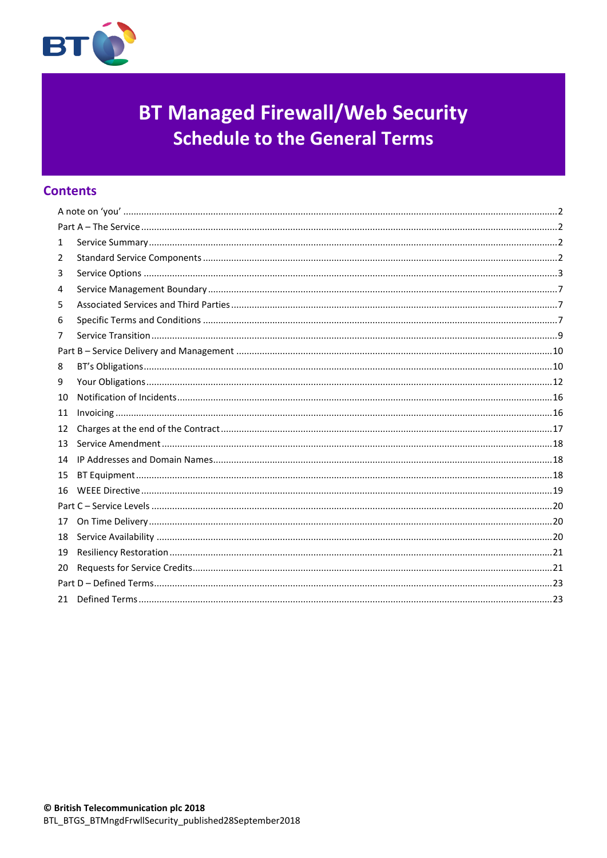

# **BT Managed Firewall/Web Security Schedule to the General Terms**

# **Contents**

| 1  |  |
|----|--|
| 2  |  |
| 3  |  |
| 4  |  |
| 5  |  |
| 6  |  |
| 7  |  |
|    |  |
| 8  |  |
| 9  |  |
| 10 |  |
|    |  |
| 11 |  |
| 12 |  |
| 13 |  |
| 14 |  |
| 15 |  |
| 16 |  |
|    |  |
| 17 |  |
| 18 |  |
| 19 |  |
| 20 |  |
|    |  |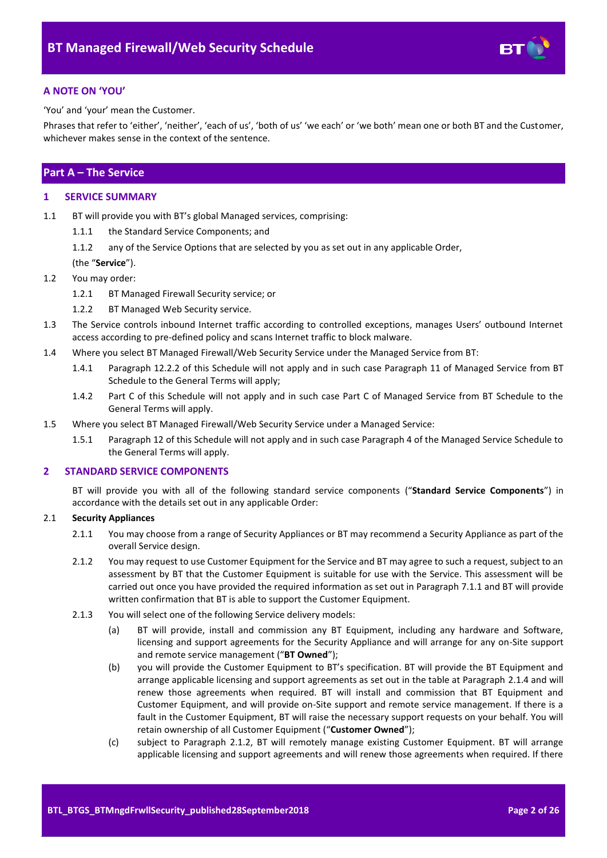

# <span id="page-1-0"></span>**A NOTE ON 'YOU'**

'You' and 'your' mean the Customer.

Phrases that refer to 'either', 'neither', 'each of us', 'both of us' 'we each' or 'we both' mean one or both BT and the Customer, whichever makes sense in the context of the sentence.

# <span id="page-1-1"></span>**Part A – The Service**

#### <span id="page-1-2"></span>**1 SERVICE SUMMARY**

- 1.1 BT will provide you with BT's global Managed services, comprising:
	- 1.1.1 the Standard Service Components; and

1.1.2 any of the Service Options that are selected by you as set out in any applicable Order,

#### (the "**Service**").

- <span id="page-1-6"></span>1.2 You may order:
	- 1.2.1 BT Managed Firewall Security service; or
	- 1.2.2 BT Managed Web Security service.
- <span id="page-1-7"></span>1.3 The Service controls inbound Internet traffic according to controlled exceptions, manages Users' outbound Internet access according to pre-defined policy and scans Internet traffic to block malware.
- 1.4 Where you select BT Managed Firewall/Web Security Service under the Managed Service from BT:
	- 1.4.1 Paragraph [12.2.](#page-17-3)2 of this Schedule will not apply and in such case Paragraph 11 of Managed Service from BT Schedule to the General Terms will apply;
	- 1.4.2 Part C of this Schedule will not apply and in such case Part C of Managed Service from BT Schedule to the General Terms will apply.
- 1.5 Where you select BT Managed Firewall/Web Security Service under a Managed Service:
	- 1.5.1 Paragraph 12 of this Schedule will not apply and in such case Paragraph 4 of the Managed Service Schedule to the General Terms will apply.

#### <span id="page-1-3"></span>**2 STANDARD SERVICE COMPONENTS**

BT will provide you with all of the following standard service components ("**Standard Service Components**") in accordance with the details set out in any applicable Order:

## 2.1 **Security Appliances**

- 2.1.1 You may choose from a range of Security Appliances or BT may recommend a Security Appliance as part of the overall Service design.
- <span id="page-1-4"></span>2.1.2 You may request to use Customer Equipment for the Service and BT may agree to such a request, subject to an assessment by BT that the Customer Equipment is suitable for use with the Service. This assessment will be carried out once you have provided the required information as set out in Paragrap[h 7.1.1](#page-8-1) and BT will provide written confirmation that BT is able to support the Customer Equipment.
- <span id="page-1-10"></span><span id="page-1-9"></span><span id="page-1-8"></span><span id="page-1-5"></span>2.1.3 You will select one of the following Service delivery models:
	- (a) BT will provide, install and commission any BT Equipment, including any hardware and Software, licensing and support agreements for the Security Appliance and will arrange for any on-Site support and remote service management ("**BT Owned**");
	- (b) you will provide the Customer Equipment to BT's specification. BT will provide the BT Equipment and arrange applicable licensing and support agreements as set out in the table at Paragraph [2.1.4](#page-2-1) and will renew those agreements when required. BT will install and commission that BT Equipment and Customer Equipment, and will provide on-Site support and remote service management. If there is a fault in the Customer Equipment, BT will raise the necessary support requests on your behalf. You will retain ownership of all Customer Equipment ("**Customer Owned**");
	- (c) subject to Paragraph [2.1.2,](#page-1-4) BT will remotely manage existing Customer Equipment. BT will arrange applicable licensing and support agreements and will renew those agreements when required. If there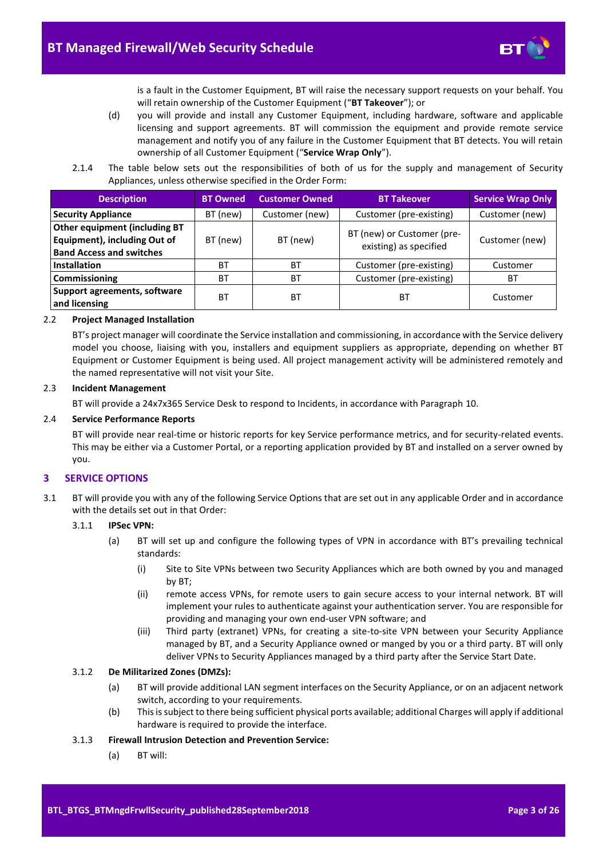

is a fault in the Customer Equipment, BT will raise the necessary support requests on your behalf. You will retain ownership of the Customer Equipment ("**BT Takeover**"); or

- (d) you will provide and install any Customer Equipment, including hardware, software and applicable licensing and support agreements. BT will commission the equipment and provide remote service management and notify you of any failure in the Customer Equipment that BT detects. You will retain ownership of all Customer Equipment ("**Service Wrap Only**").
- <span id="page-2-3"></span>2.1.4 The table below sets out the responsibilities of both of us for the supply and management of Security Appliances, unless otherwise specified in the Order Form:

<span id="page-2-1"></span>

| <b>Description</b>                                                                               | <b>BT Owned</b> | <b>Customer Owned</b> | <b>BT Takeover</b>                                   | <b>Service Wrap Only</b> |
|--------------------------------------------------------------------------------------------------|-----------------|-----------------------|------------------------------------------------------|--------------------------|
| <b>Security Appliance</b>                                                                        | BT (new)        | Customer (new)        | Customer (pre-existing)                              | Customer (new)           |
| Other equipment (including BT<br>Equipment), including Out of<br><b>Band Access and switches</b> | BT (new)        | BT (new)              | BT (new) or Customer (pre-<br>existing) as specified | Customer (new)           |
| <b>Installation</b>                                                                              | ВT              | ВT                    | Customer (pre-existing)                              | Customer                 |
| Commissioning                                                                                    | ВT              | <b>BT</b>             | Customer (pre-existing)                              | ВT                       |
| Support agreements, software<br>and licensing                                                    | ВT              | ВT                    | ВT                                                   | Customer                 |

#### <span id="page-2-2"></span>2.2 **Project Managed Installation**

BT's project manager will coordinate the Service installation and commissioning, in accordance with the Service delivery model you choose, liaising with you, installers and equipment suppliers as appropriate, depending on whether BT Equipment or Customer Equipment is being used. All project management activity will be administered remotely and the named representative will not visit your Site.

#### 2.3 **Incident Management**

BT will provide a 24x7x365 Service Desk to respond to Incidents, in accordance with Paragrap[h 10.](#page-15-0)

#### 2.4 **Service Performance Reports**

BT will provide near real-time or historic reports for key Service performance metrics, and for security-related events. This may be either via a Customer Portal, or a reporting application provided by BT and installed on a server owned by you.

#### <span id="page-2-0"></span>**3 SERVICE OPTIONS**

3.1 BT will provide you with any of the following Service Options that are set out in any applicable Order and in accordance with the details set out in that Order:

#### 3.1.1 **IPSec VPN:**

- (a) BT will set up and configure the following types of VPN in accordance with BT's prevailing technical standards:
	- (i) Site to Site VPNs between two Security Appliances which are both owned by you and managed by BT;
	- (ii) remote access VPNs, for remote users to gain secure access to your internal network. BT will implement your rules to authenticate against your authentication server. You are responsible for providing and managing your own end-user VPN software; and
	- (iii) Third party (extranet) VPNs, for creating a site-to-site VPN between your Security Appliance managed by BT, and a Security Appliance owned or manged by you or a third party. BT will only deliver VPNs to Security Appliances managed by a third party after the Service Start Date.

#### 3.1.2 **De Militarized Zones (DMZs):**

- (a) BT will provide additional LAN segment interfaces on the Security Appliance, or on an adjacent network switch, according to your requirements.
- (b) This is subject to there being sufficient physical ports available; additional Charges will apply if additional hardware is required to provide the interface.

#### 3.1.3 **Firewall Intrusion Detection and Prevention Service:**

(a) BT will: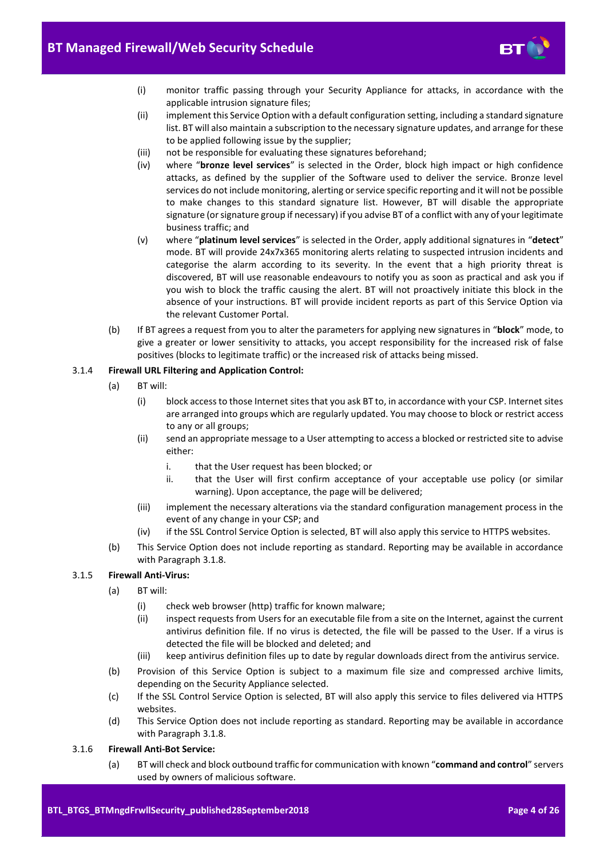

- (i) monitor traffic passing through your Security Appliance for attacks, in accordance with the applicable intrusion signature files;
- (ii) implement this Service Option with a default configuration setting, including a standard signature list. BT will also maintain a subscription to the necessary signature updates, and arrange for these to be applied following issue by the supplier;
- (iii) not be responsible for evaluating these signatures beforehand;
- (iv) where "**bronze level services**" is selected in the Order, block high impact or high confidence attacks, as defined by the supplier of the Software used to deliver the service. Bronze level services do not include monitoring, alerting or service specific reporting and it will not be possible to make changes to this standard signature list. However, BT will disable the appropriate signature (or signature group if necessary) if you advise BT of a conflict with any of your legitimate business traffic; and
- (v) where "**platinum level services**" is selected in the Order, apply additional signatures in "**detect**" mode. BT will provide 24x7x365 monitoring alerts relating to suspected intrusion incidents and categorise the alarm according to its severity. In the event that a high priority threat is discovered, BT will use reasonable endeavours to notify you as soon as practical and ask you if you wish to block the traffic causing the alert. BT will not proactively initiate this block in the absence of your instructions. BT will provide incident reports as part of this Service Option via the relevant Customer Portal.
- (b) If BT agrees a request from you to alter the parameters for applying new signatures in "**block**" mode, to give a greater or lower sensitivity to attacks, you accept responsibility for the increased risk of false positives (blocks to legitimate traffic) or the increased risk of attacks being missed.

#### 3.1.4 **Firewall URL Filtering and Application Control:**

- (a) BT will:
	- (i) block access to those Internet sites that you ask BT to, in accordance with your CSP. Internet sites are arranged into groups which are regularly updated. You may choose to block or restrict access to any or all groups;
	- (ii) send an appropriate message to a User attempting to access a blocked or restricted site to advise either:
		- i. that the User request has been blocked; or
		- ii. that the User will first confirm acceptance of your acceptable use policy (or similar warning). Upon acceptance, the page will be delivered;
	- (iii) implement the necessary alterations via the standard configuration management process in the event of any change in your CSP; and
	- (iv) if the SSL Control Service Option is selected, BT will also apply this service to HTTPS websites.
- (b) This Service Option does not include reporting as standard. Reporting may be available in accordance with Paragraph [3.1.8.](#page-4-0)

## 3.1.5 **Firewall Anti-Virus:**

- (a) BT will:
	- (i) check web browser (http) traffic for known malware;
	- (ii) inspect requests from Users for an executable file from a site on the Internet, against the current antivirus definition file. If no virus is detected, the file will be passed to the User. If a virus is detected the file will be blocked and deleted; and
	- (iii) keep antivirus definition files up to date by regular downloads direct from the antivirus service.
- (b) Provision of this Service Option is subject to a maximum file size and compressed archive limits, depending on the Security Appliance selected.
- (c) If the SSL Control Service Option is selected, BT will also apply this service to files delivered via HTTPS websites.
- (d) This Service Option does not include reporting as standard. Reporting may be available in accordance with Paragraph [3.1.8.](#page-4-0)
- 3.1.6 **Firewall Anti-Bot Service:** 
	- (a) BT will check and block outbound traffic for communication with known "**command and control**" servers used by owners of malicious software.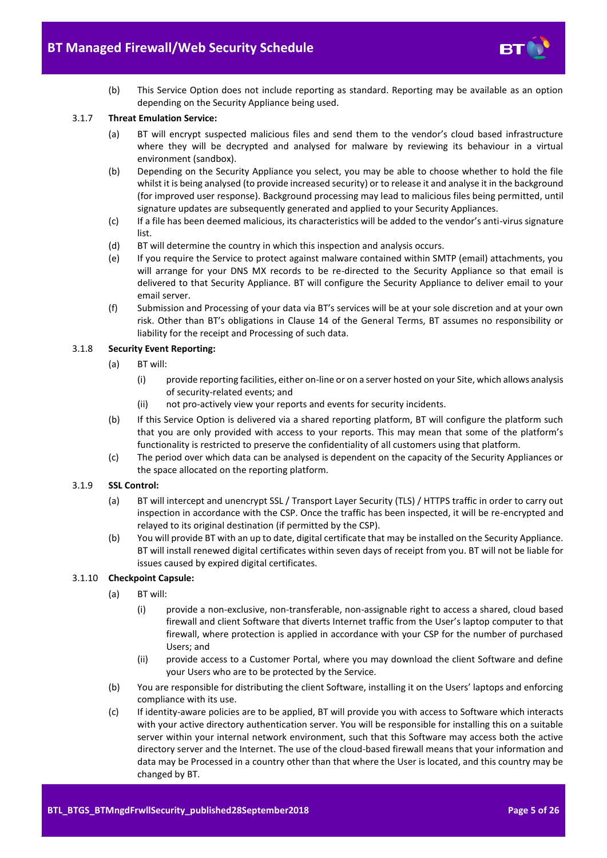- 
- (b) This Service Option does not include reporting as standard. Reporting may be available as an option depending on the Security Appliance being used.

# 3.1.7 **Threat Emulation Service:**

- (a) BT will encrypt suspected malicious files and send them to the vendor's cloud based infrastructure where they will be decrypted and analysed for malware by reviewing its behaviour in a virtual environment (sandbox).
- (b) Depending on the Security Appliance you select, you may be able to choose whether to hold the file whilst it is being analysed (to provide increased security) or to release it and analyse it in the background (for improved user response). Background processing may lead to malicious files being permitted, until signature updates are subsequently generated and applied to your Security Appliances.
- (c) If a file has been deemed malicious, its characteristics will be added to the vendor's anti-virus signature list.
- (d) BT will determine the country in which this inspection and analysis occurs.
- (e) If you require the Service to protect against malware contained within SMTP (email) attachments, you will arrange for your DNS MX records to be re-directed to the Security Appliance so that email is delivered to that Security Appliance. BT will configure the Security Appliance to deliver email to your email server.
- (f) Submission and Processing of your data via BT's services will be at your sole discretion and at your own risk. Other than BT's obligations in Clause 14 of the General Terms, BT assumes no responsibility or liability for the receipt and Processing of such data.

#### <span id="page-4-0"></span>3.1.8 **Security Event Reporting:**

- (a) BT will:
	- (i) provide reporting facilities, either on-line or on a server hosted on your Site, which allows analysis of security-related events; and
	- (ii) not pro-actively view your reports and events for security incidents.
- (b) If this Service Option is delivered via a shared reporting platform, BT will configure the platform such that you are only provided with access to your reports. This may mean that some of the platform's functionality is restricted to preserve the confidentiality of all customers using that platform.
- (c) The period over which data can be analysed is dependent on the capacity of the Security Appliances or the space allocated on the reporting platform.

#### 3.1.9 **SSL Control:**

- (a) BT will intercept and unencrypt SSL / Transport Layer Security (TLS) / HTTPS traffic in order to carry out inspection in accordance with the CSP. Once the traffic has been inspected, it will be re-encrypted and relayed to its original destination (if permitted by the CSP).
- (b) You will provide BT with an up to date, digital certificate that may be installed on the Security Appliance. BT will install renewed digital certificates within seven days of receipt from you. BT will not be liable for issues caused by expired digital certificates.

#### <span id="page-4-1"></span>3.1.10 **Checkpoint Capsule:**

- (a) BT will:
	- (i) provide a non-exclusive, non-transferable, non-assignable right to access a shared, cloud based firewall and client Software that diverts Internet traffic from the User's laptop computer to that firewall, where protection is applied in accordance with your CSP for the number of purchased Users; and
	- (ii) provide access to a Customer Portal, where you may download the client Software and define your Users who are to be protected by the Service.
- (b) You are responsible for distributing the client Software, installing it on the Users' laptops and enforcing compliance with its use.
- (c) If identity-aware policies are to be applied, BT will provide you with access to Software which interacts with your active directory authentication server. You will be responsible for installing this on a suitable server within your internal network environment, such that this Software may access both the active directory server and the Internet. The use of the cloud-based firewall means that your information and data may be Processed in a country other than that where the User is located, and this country may be changed by BT.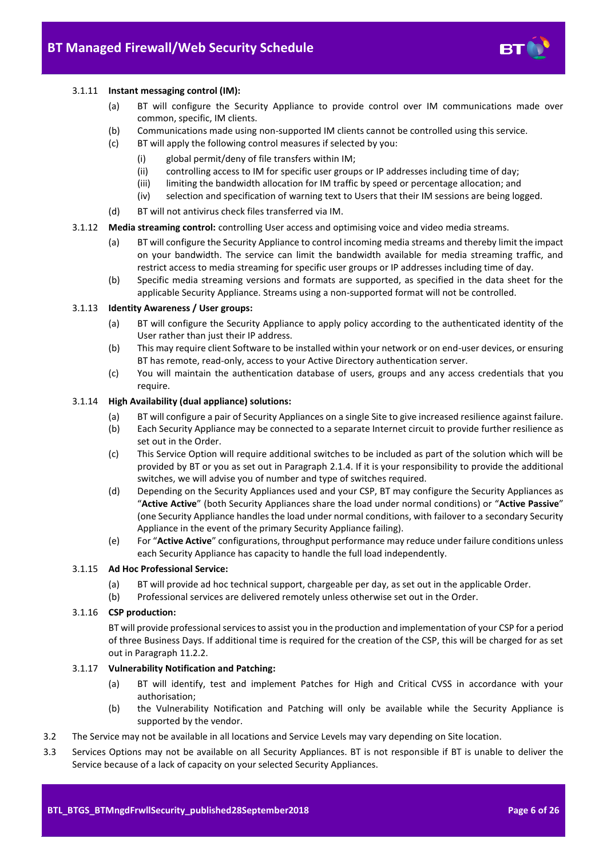

#### 3.1.11 **Instant messaging control (IM):**

- (a) BT will configure the Security Appliance to provide control over IM communications made over common, specific, IM clients.
- (b) Communications made using non-supported IM clients cannot be controlled using this service.
- (c) BT will apply the following control measures if selected by you:
	- (i) global permit/deny of file transfers within IM;
	- (ii) controlling access to IM for specific user groups or IP addresses including time of day;
	- (iii) limiting the bandwidth allocation for IM traffic by speed or percentage allocation; and
	- (iv) selection and specification of warning text to Users that their IM sessions are being logged.
- (d) BT will not antivirus check files transferred via IM.
- 3.1.12 **Media streaming control:** controlling User access and optimising voice and video media streams.
	- (a) BT will configure the Security Appliance to control incoming media streams and thereby limit the impact on your bandwidth. The service can limit the bandwidth available for media streaming traffic, and restrict access to media streaming for specific user groups or IP addresses including time of day.
	- (b) Specific media streaming versions and formats are supported, as specified in the data sheet for the applicable Security Appliance. Streams using a non-supported format will not be controlled.

#### 3.1.13 **Identity Awareness / User groups:**

- (a) BT will configure the Security Appliance to apply policy according to the authenticated identity of the User rather than just their IP address.
- (b) This may require client Software to be installed within your network or on end-user devices, or ensuring BT has remote, read-only, access to your Active Directory authentication server.
- (c) You will maintain the authentication database of users, groups and any access credentials that you require.

#### <span id="page-5-0"></span>3.1.14 **High Availability (dual appliance) solutions:**

- (a) BT will configure a pair of Security Appliances on a single Site to give increased resilience against failure.
- (b) Each Security Appliance may be connected to a separate Internet circuit to provide further resilience as set out in the Order.
- (c) This Service Option will require additional switches to be included as part of the solution which will be provided by BT or you as set out in Paragraph [2.1.4.](#page-2-1) If it is your responsibility to provide the additional switches, we will advise you of number and type of switches required.
- (d) Depending on the Security Appliances used and your CSP, BT may configure the Security Appliances as "**Active Active**" (both Security Appliances share the load under normal conditions) or "**Active Passive**" (one Security Appliance handles the load under normal conditions, with failover to a secondary Security Appliance in the event of the primary Security Appliance failing).
- (e) For "**Active Active**" configurations, throughput performance may reduce under failure conditions unless each Security Appliance has capacity to handle the full load independently.

#### <span id="page-5-1"></span>3.1.15 **Ad Hoc Professional Service:**

- (a) BT will provide ad hoc technical support, chargeable per day, as set out in the applicable Order.
- (b) Professional services are delivered remotely unless otherwise set out in the Order.

#### <span id="page-5-2"></span>3.1.16 **CSP production:**

BT will provide professional services to assist you in the production and implementation of your CSP for a period of three Business Days. If additional time is required for the creation of the CSP, this will be charged for as set out in Paragrap[h 11.2.2.](#page-15-2)

#### 3.1.17 **Vulnerability Notification and Patching:**

- (a) BT will identify, test and implement Patches for High and Critical CVSS in accordance with your authorisation;
- (b) the Vulnerability Notification and Patching will only be available while the Security Appliance is supported by the vendor.
- 3.2 The Service may not be available in all locations and Service Levels may vary depending on Site location.
- 3.3 Services Options may not be available on all Security Appliances. BT is not responsible if BT is unable to deliver the Service because of a lack of capacity on your selected Security Appliances.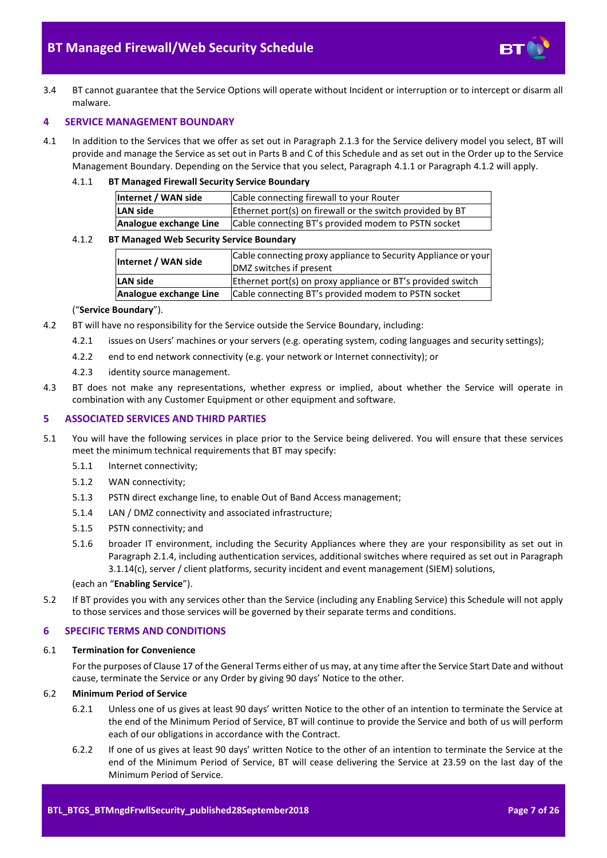

3.4 BT cannot guarantee that the Service Options will operate without Incident or interruption or to intercept or disarm all malware.

#### <span id="page-6-0"></span>**4 SERVICE MANAGEMENT BOUNDARY**

4.1 In addition to the Services that we offer as set out in Paragraph [2.1.3](#page-1-5) for the Service delivery model you select, BT will provide and manage the Service as set out in Parts B and C of this Schedule and as set out in the Order up to the Service Management Boundary. Depending on the Service that you select, Paragraph [4.1.1](#page-6-3) or Paragrap[h 4.1.2](#page-6-4) will apply.

# <span id="page-6-3"></span>4.1.1 **BT Managed Firewall Security Service Boundary**

| Internet / WAN side    | Cable connecting firewall to your Router                  |  |  |
|------------------------|-----------------------------------------------------------|--|--|
| LAN side               | Ethernet port(s) on firewall or the switch provided by BT |  |  |
| Analogue exchange Line | Cable connecting BT's provided modem to PSTN socket       |  |  |

#### <span id="page-6-4"></span>4.1.2 **BT Managed Web Security Service Boundary**

| Internet / WAN side    | Cable connecting proxy appliance to Security Appliance or your<br>DMZ switches if present |  |  |
|------------------------|-------------------------------------------------------------------------------------------|--|--|
| LAN side               | Ethernet port(s) on proxy appliance or BT's provided switch                               |  |  |
| Analogue exchange Line | Cable connecting BT's provided modem to PSTN socket                                       |  |  |

#### ("**Service Boundary**").

- 4.2 BT will have no responsibility for the Service outside the Service Boundary, including:
	- 4.2.1 issues on Users' machines or your servers (e.g. operating system, coding languages and security settings);
	- 4.2.2 end to end network connectivity (e.g. your network or Internet connectivity); or
	- 4.2.3 identity source management.
- 4.3 BT does not make any representations, whether express or implied, about whether the Service will operate in combination with any Customer Equipment or other equipment and software.

#### <span id="page-6-1"></span>**5 ASSOCIATED SERVICES AND THIRD PARTIES**

- <span id="page-6-6"></span>5.1 You will have the following services in place prior to the Service being delivered. You will ensure that these services meet the minimum technical requirements that BT may specify:
	- 5.1.1 Internet connectivity;
	- 5.1.2 WAN connectivity;
	- 5.1.3 PSTN direct exchange line, to enable Out of Band Access management;
	- 5.1.4 LAN / DMZ connectivity and associated infrastructure;
	- 5.1.5 PSTN connectivity; and
	- 5.1.6 broader IT environment, including the Security Appliances where they are your responsibility as set out in Paragrap[h 2.1.4,](#page-2-1) including authentication services, additional switches where required as set out in Paragraph [3.1.14\(c\),](#page-5-0) server / client platforms, security incident and event management (SIEM) solutions,

# (each an "**Enabling Service**").

5.2 If BT provides you with any services other than the Service (including any Enabling Service) this Schedule will not apply to those services and those services will be governed by their separate terms and conditions.

## <span id="page-6-2"></span>**6 SPECIFIC TERMS AND CONDITIONS**

#### 6.1 **Termination for Convenience**

For the purposes of Clause 17 of the General Terms either of us may, at any time after the Service Start Date and without cause, terminate the Service or any Order by giving 90 days' Notice to the other.

#### 6.2 **Minimum Period of Service**

- 6.2.1 Unless one of us gives at least 90 days' written Notice to the other of an intention to terminate the Service at the end of the Minimum Period of Service, BT will continue to provide the Service and both of us will perform each of our obligations in accordance with the Contract.
- <span id="page-6-5"></span>6.2.2 If one of us gives at least 90 days' written Notice to the other of an intention to terminate the Service at the end of the Minimum Period of Service, BT will cease delivering the Service at 23.59 on the last day of the Minimum Period of Service.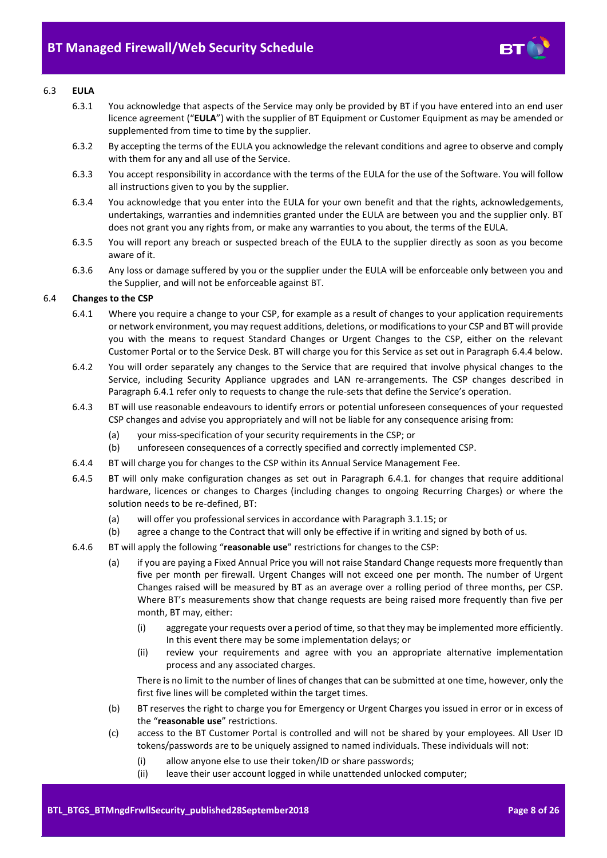

# <span id="page-7-3"></span>6.3 **EULA**

- 6.3.1 You acknowledge that aspects of the Service may only be provided by BT if you have entered into an end user licence agreement ("**EULA**") with the supplier of BT Equipment or Customer Equipment as may be amended or supplemented from time to time by the supplier.
- 6.3.2 By accepting the terms of the EULA you acknowledge the relevant conditions and agree to observe and comply with them for any and all use of the Service.
- 6.3.3 You accept responsibility in accordance with the terms of the EULA for the use of the Software. You will follow all instructions given to you by the supplier.
- 6.3.4 You acknowledge that you enter into the EULA for your own benefit and that the rights, acknowledgements, undertakings, warranties and indemnities granted under the EULA are between you and the supplier only. BT does not grant you any rights from, or make any warranties to you about, the terms of the EULA.
- 6.3.5 You will report any breach or suspected breach of the EULA to the supplier directly as soon as you become aware of it.
- 6.3.6 Any loss or damage suffered by you or the supplier under the EULA will be enforceable only between you and the Supplier, and will not be enforceable against BT.

# <span id="page-7-2"></span><span id="page-7-1"></span>6.4 **Changes to the CSP**

- 6.4.1 Where you require a change to your CSP, for example as a result of changes to your application requirements or network environment, you may request additions, deletions, or modifications to your CSP and BT will provide you with the means to request Standard Changes or Urgent Changes to the CSP, either on the relevant Customer Portal or to the Service Desk. BT will charge you for this Service as set out in Paragraph [6.4.4](#page-7-0) below.
- 6.4.2 You will order separately any changes to the Service that are required that involve physical changes to the Service, including Security Appliance upgrades and LAN re-arrangements. The CSP changes described in Paragrap[h 6.4.1](#page-7-1) refer only to requests to change the rule-sets that define the Service's operation.
- 6.4.3 BT will use reasonable endeavours to identify errors or potential unforeseen consequences of your requested CSP changes and advise you appropriately and will not be liable for any consequence arising from:
	- (a) your miss-specification of your security requirements in the CSP; or
	- (b) unforeseen consequences of a correctly specified and correctly implemented CSP.
- <span id="page-7-0"></span>6.4.4 BT will charge you for changes to the CSP within its Annual Service Management Fee.
- 6.4.5 BT will only make configuration changes as set out in Paragraph [6.4.1.](#page-7-1) for changes that require additional hardware, licences or changes to Charges (including changes to ongoing Recurring Charges) or where the solution needs to be re-defined, BT:
	- (a) will offer you professional services in accordance with Paragraph [3.1.15;](#page-5-1) or
	- (b) agree a change to the Contract that will only be effective if in writing and signed by both of us.
- 6.4.6 BT will apply the following "**reasonable use**" restrictions for changes to the CSP:
	- (a) if you are paying a Fixed Annual Price you will not raise Standard Change requests more frequently than five per month per firewall. Urgent Changes will not exceed one per month. The number of Urgent Changes raised will be measured by BT as an average over a rolling period of three months, per CSP. Where BT's measurements show that change requests are being raised more frequently than five per month, BT may, either:
		- (i) aggregate your requests over a period of time, so that they may be implemented more efficiently. In this event there may be some implementation delays; or
		- (ii) review your requirements and agree with you an appropriate alternative implementation process and any associated charges.

There is no limit to the number of lines of changes that can be submitted at one time, however, only the first five lines will be completed within the target times.

- (b) BT reserves the right to charge you for Emergency or Urgent Charges you issued in error or in excess of the "**reasonable use**" restrictions.
- (c) access to the BT Customer Portal is controlled and will not be shared by your employees. All User ID tokens/passwords are to be uniquely assigned to named individuals. These individuals will not:
	- (i) allow anyone else to use their token/ID or share passwords;
	- (ii) leave their user account logged in while unattended unlocked computer;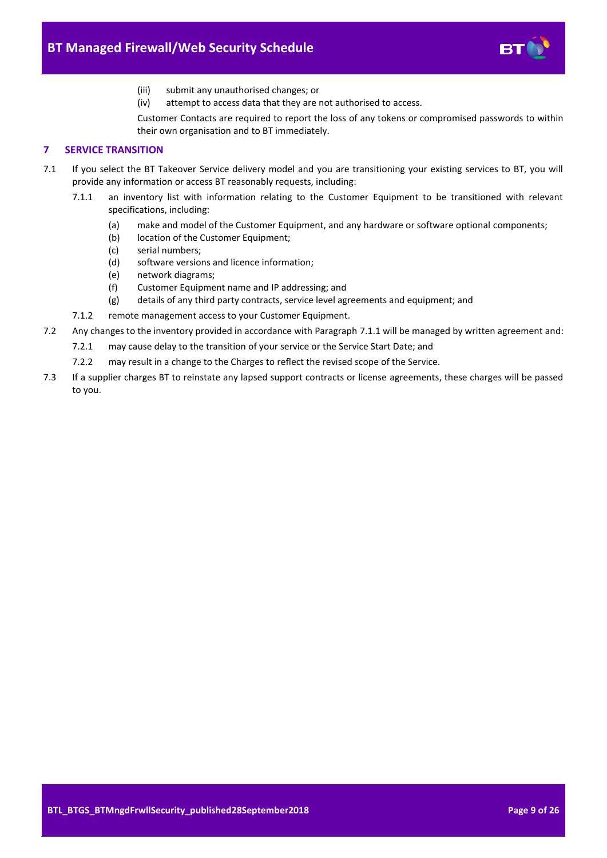

- (iii) submit any unauthorised changes; or
- (iv) attempt to access data that they are not authorised to access.

Customer Contacts are required to report the loss of any tokens or compromised passwords to within their own organisation and to BT immediately.

# <span id="page-8-0"></span>**7 SERVICE TRANSITION**

- <span id="page-8-2"></span><span id="page-8-1"></span>7.1 If you select the BT Takeover Service delivery model and you are transitioning your existing services to BT, you will provide any information or access BT reasonably requests, including:
	- 7.1.1 an inventory list with information relating to the Customer Equipment to be transitioned with relevant specifications, including:
		- (a) make and model of the Customer Equipment, and any hardware or software optional components;
		- (b) location of the Customer Equipment;
		- (c) serial numbers;
		- (d) software versions and licence information;
		- (e) network diagrams;
		- (f) Customer Equipment name and IP addressing; and
		- (g) details of any third party contracts, service level agreements and equipment; and
	- 7.1.2 remote management access to your Customer Equipment.
- 7.2 Any changes to the inventory provided in accordance with Paragraph [7.1.1](#page-8-1) will be managed by written agreement and:
	- 7.2.1 may cause delay to the transition of your service or the Service Start Date; and
	- 7.2.2 may result in a change to the Charges to reflect the revised scope of the Service.
- 7.3 If a supplier charges BT to reinstate any lapsed support contracts or license agreements, these charges will be passed to you.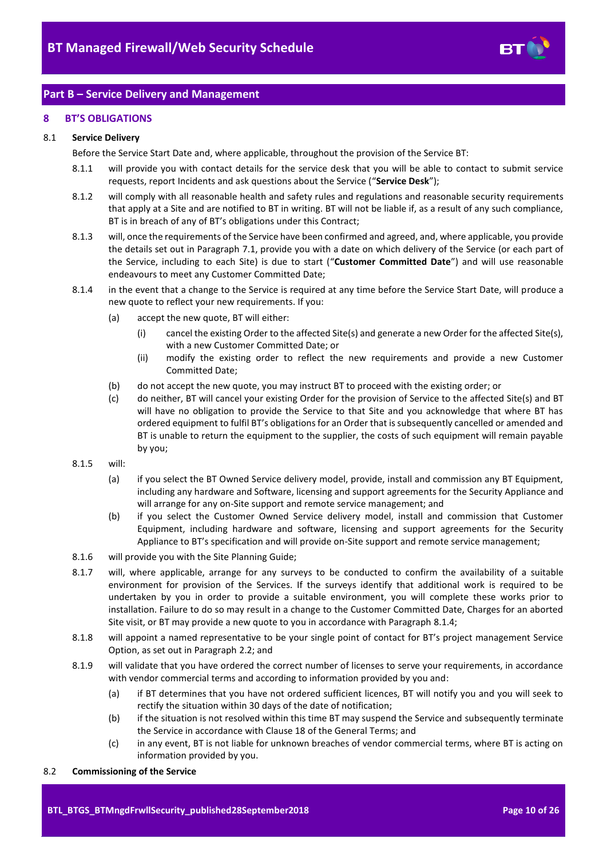

# <span id="page-9-0"></span>**Part B – Service Delivery and Management**

#### <span id="page-9-1"></span>**8 BT'S OBLIGATIONS**

#### <span id="page-9-4"></span>8.1 **Service Delivery**

Before the Service Start Date and, where applicable, throughout the provision of the Service BT:

- 8.1.1 will provide you with contact details for the service desk that you will be able to contact to submit service requests, report Incidents and ask questions about the Service ("**Service Desk**");
- 8.1.2 will comply with all reasonable health and safety rules and regulations and reasonable security requirements that apply at a Site and are notified to BT in writing. BT will not be liable if, as a result of any such compliance, BT is in breach of any of BT's obligations under this Contract;
- <span id="page-9-3"></span>8.1.3 will, once the requirements of the Service have been confirmed and agreed, and, where applicable, you provide the details set out in Paragrap[h 7.1,](#page-8-2) provide you with a date on which delivery of the Service (or each part of the Service, including to each Site) is due to start ("**Customer Committed Date**") and will use reasonable endeavours to meet any Customer Committed Date;
- <span id="page-9-2"></span>8.1.4 in the event that a change to the Service is required at any time before the Service Start Date, will produce a new quote to reflect your new requirements. If you:
	- (a) accept the new quote, BT will either:
		- (i) cancel the existing Order to the affected Site(s) and generate a new Order for the affected Site(s), with a new Customer Committed Date; or
		- (ii) modify the existing order to reflect the new requirements and provide a new Customer Committed Date;
	- (b) do not accept the new quote, you may instruct BT to proceed with the existing order; or
	- (c) do neither, BT will cancel your existing Order for the provision of Service to the affected Site(s) and BT will have no obligation to provide the Service to that Site and you acknowledge that where BT has ordered equipment to fulfil BT's obligations for an Order that is subsequently cancelled or amended and BT is unable to return the equipment to the supplier, the costs of such equipment will remain payable by you;
- 8.1.5 will:
	- (a) if you select the BT Owned Service delivery model, provide, install and commission any BT Equipment, including any hardware and Software, licensing and support agreements for the Security Appliance and will arrange for any on-Site support and remote service management; and
	- (b) if you select the Customer Owned Service delivery model, install and commission that Customer Equipment, including hardware and software, licensing and support agreements for the Security Appliance to BT's specification and will provide on-Site support and remote service management;
- 8.1.6 will provide you with the Site Planning Guide;
- 8.1.7 will, where applicable, arrange for any surveys to be conducted to confirm the availability of a suitable environment for provision of the Services. If the surveys identify that additional work is required to be undertaken by you in order to provide a suitable environment, you will complete these works prior to installation. Failure to do so may result in a change to the Customer Committed Date, Charges for an aborted Site visit, or BT may provide a new quote to you in accordance with Paragrap[h 8.1.4;](#page-9-2)
- 8.1.8 will appoint a named representative to be your single point of contact for BT's project management Service Option, as set out in Paragrap[h 2.2;](#page-2-2) and
- 8.1.9 will validate that you have ordered the correct number of licenses to serve your requirements, in accordance with vendor commercial terms and according to information provided by you and:
	- (a) if BT determines that you have not ordered sufficient licences, BT will notify you and you will seek to rectify the situation within 30 days of the date of notification;
	- (b) if the situation is not resolved within this time BT may suspend the Service and subsequently terminate the Service in accordance with Clause 18 of the General Terms; and
	- (c) in any event, BT is not liable for unknown breaches of vendor commercial terms, where BT is acting on information provided by you.
- 8.2 **Commissioning of the Service**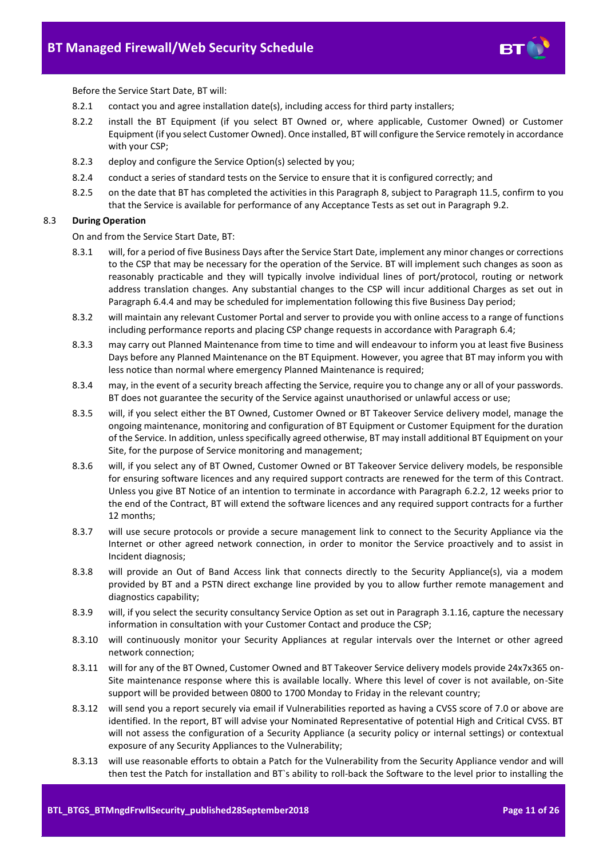

Before the Service Start Date, BT will:

- 8.2.1 contact you and agree installation date(s), including access for third party installers;
- 8.2.2 install the BT Equipment (if you select BT Owned or, where applicable, Customer Owned) or Customer Equipment (if you select Customer Owned). Once installed, BT will configure the Service remotely in accordance with your CSP;
- 8.2.3 deploy and configure the Service Option(s) selected by you;
- 8.2.4 conduct a series of standard tests on the Service to ensure that it is configured correctly; and
- 8.2.5 on the date that BT has completed the activities in this Paragraph [8,](#page-9-1) subject to Paragrap[h 11.5,](#page-16-1) confirm to you that the Service is available for performance of any Acceptance Tests as set out in Paragraph [9.2.](#page-13-0)

#### <span id="page-10-0"></span>8.3 **During Operation**

On and from the Service Start Date, BT:

- 8.3.1 will, for a period of five Business Days after the Service Start Date, implement any minor changes or corrections to the CSP that may be necessary for the operation of the Service. BT will implement such changes as soon as reasonably practicable and they will typically involve individual lines of port/protocol, routing or network address translation changes. Any substantial changes to the CSP will incur additional Charges as set out in Paragrap[h 6.4.4](#page-7-0) and may be scheduled for implementation following this five Business Day period;
- 8.3.2 will maintain any relevant Customer Portal and server to provide you with online access to a range of functions including performance reports and placing CSP change requests in accordance with Paragraph [6.4;](#page-7-2)
- 8.3.3 may carry out Planned Maintenance from time to time and will endeavour to inform you at least five Business Days before any Planned Maintenance on the BT Equipment. However, you agree that BT may inform you with less notice than normal where emergency Planned Maintenance is required;
- 8.3.4 may, in the event of a security breach affecting the Service, require you to change any or all of your passwords. BT does not guarantee the security of the Service against unauthorised or unlawful access or use;
- 8.3.5 will, if you select either the BT Owned, Customer Owned or BT Takeover Service delivery model, manage the ongoing maintenance, monitoring and configuration of BT Equipment or Customer Equipment for the duration of the Service. In addition, unless specifically agreed otherwise, BT may install additional BT Equipment on your Site, for the purpose of Service monitoring and management;
- 8.3.6 will, if you select any of BT Owned, Customer Owned or BT Takeover Service delivery models, be responsible for ensuring software licences and any required support contracts are renewed for the term of this Contract. Unless you give BT Notice of an intention to terminate in accordance with Paragraph [6.2.2,](#page-6-5) 12 weeks prior to the end of the Contract, BT will extend the software licences and any required support contracts for a further 12 months;
- 8.3.7 will use secure protocols or provide a secure management link to connect to the Security Appliance via the Internet or other agreed network connection, in order to monitor the Service proactively and to assist in Incident diagnosis;
- 8.3.8 will provide an Out of Band Access link that connects directly to the Security Appliance(s), via a modem provided by BT and a PSTN direct exchange line provided by you to allow further remote management and diagnostics capability;
- 8.3.9 will, if you select the security consultancy Service Option as set out in Paragraph [3.1.16,](#page-5-2) capture the necessary information in consultation with your Customer Contact and produce the CSP;
- 8.3.10 will continuously monitor your Security Appliances at regular intervals over the Internet or other agreed network connection;
- 8.3.11 will for any of the BT Owned, Customer Owned and BT Takeover Service delivery models provide 24x7x365 on-Site maintenance response where this is available locally. Where this level of cover is not available, on-Site support will be provided between 0800 to 1700 Monday to Friday in the relevant country;
- 8.3.12 will send you a report securely via email if Vulnerabilities reported as having a CVSS score of 7.0 or above are identified. In the report, BT will advise your Nominated Representative of potential High and Critical CVSS. BT will not assess the configuration of a Security Appliance (a security policy or internal settings) or contextual exposure of any Security Appliances to the Vulnerability;
- 8.3.13 will use reasonable efforts to obtain a Patch for the Vulnerability from the Security Appliance vendor and will then test the Patch for installation and BT`s ability to roll-back the Software to the level prior to installing the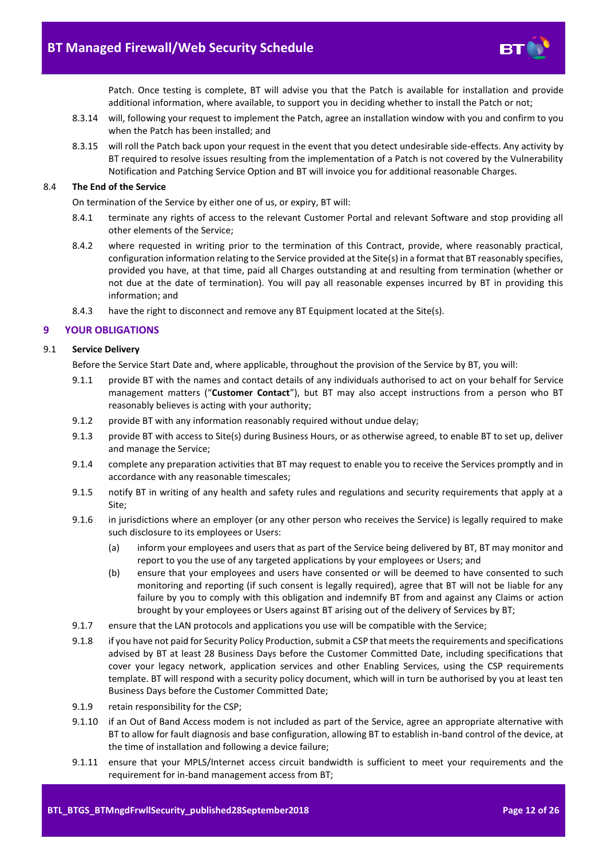

Patch. Once testing is complete, BT will advise you that the Patch is available for installation and provide additional information, where available, to support you in deciding whether to install the Patch or not;

- 8.3.14 will, following your request to implement the Patch, agree an installation window with you and confirm to you when the Patch has been installed; and
- 8.3.15 will roll the Patch back upon your request in the event that you detect undesirable side-effects. Any activity by BT required to resolve issues resulting from the implementation of a Patch is not covered by the Vulnerability Notification and Patching Service Option and BT will invoice you for additional reasonable Charges.

#### 8.4 **The End of the Service**

On termination of the Service by either one of us, or expiry, BT will:

- 8.4.1 terminate any rights of access to the relevant Customer Portal and relevant Software and stop providing all other elements of the Service;
- 8.4.2 where requested in writing prior to the termination of this Contract, provide, where reasonably practical, configuration information relating to the Service provided at the Site(s) in a format that BT reasonably specifies, provided you have, at that time, paid all Charges outstanding at and resulting from termination (whether or not due at the date of termination). You will pay all reasonable expenses incurred by BT in providing this information; and
- 8.4.3 have the right to disconnect and remove any BT Equipment located at the Site(s).

#### <span id="page-11-0"></span>**9 YOUR OBLIGATIONS**

#### <span id="page-11-1"></span>9.1 **Service Delivery**

Before the Service Start Date and, where applicable, throughout the provision of the Service by BT, you will:

- 9.1.1 provide BT with the names and contact details of any individuals authorised to act on your behalf for Service management matters ("**Customer Contact**"), but BT may also accept instructions from a person who BT reasonably believes is acting with your authority;
- 9.1.2 provide BT with any information reasonably required without undue delay;
- 9.1.3 provide BT with access to Site(s) during Business Hours, or as otherwise agreed, to enable BT to set up, deliver and manage the Service;
- 9.1.4 complete any preparation activities that BT may request to enable you to receive the Services promptly and in accordance with any reasonable timescales;
- 9.1.5 notify BT in writing of any health and safety rules and regulations and security requirements that apply at a Site;
- 9.1.6 in jurisdictions where an employer (or any other person who receives the Service) is legally required to make such disclosure to its employees or Users:
	- (a) inform your employees and users that as part of the Service being delivered by BT, BT may monitor and report to you the use of any targeted applications by your employees or Users; and
	- (b) ensure that your employees and users have consented or will be deemed to have consented to such monitoring and reporting (if such consent is legally required), agree that BT will not be liable for any failure by you to comply with this obligation and indemnify BT from and against any Claims or action brought by your employees or Users against BT arising out of the delivery of Services by BT;
- 9.1.7 ensure that the LAN protocols and applications you use will be compatible with the Service;
- 9.1.8 if you have not paid for Security Policy Production, submit a CSP that meets the requirements and specifications advised by BT at least 28 Business Days before the Customer Committed Date, including specifications that cover your legacy network, application services and other Enabling Services, using the CSP requirements template. BT will respond with a security policy document, which will in turn be authorised by you at least ten Business Days before the Customer Committed Date;
- 9.1.9 retain responsibility for the CSP;
- 9.1.10 if an Out of Band Access modem is not included as part of the Service, agree an appropriate alternative with BT to allow for fault diagnosis and base configuration, allowing BT to establish in-band control of the device, at the time of installation and following a device failure;
- 9.1.11 ensure that your MPLS/Internet access circuit bandwidth is sufficient to meet your requirements and the requirement for in-band management access from BT;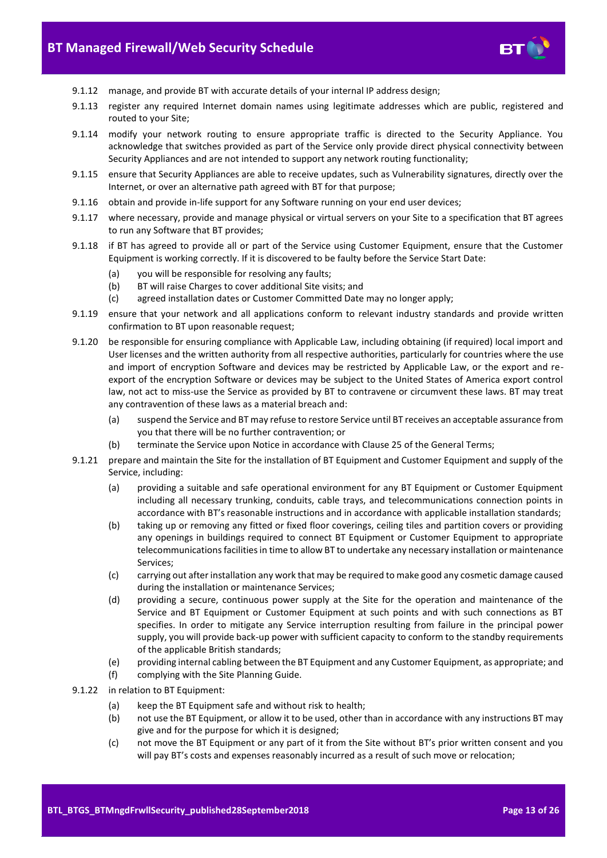

- 9.1.12 manage, and provide BT with accurate details of your internal IP address design;
- 9.1.13 register any required Internet domain names using legitimate addresses which are public, registered and routed to your Site;
- 9.1.14 modify your network routing to ensure appropriate traffic is directed to the Security Appliance. You acknowledge that switches provided as part of the Service only provide direct physical connectivity between Security Appliances and are not intended to support any network routing functionality;
- 9.1.15 ensure that Security Appliances are able to receive updates, such as Vulnerability signatures, directly over the Internet, or over an alternative path agreed with BT for that purpose;
- 9.1.16 obtain and provide in-life support for any Software running on your end user devices;
- 9.1.17 where necessary, provide and manage physical or virtual servers on your Site to a specification that BT agrees to run any Software that BT provides;
- 9.1.18 if BT has agreed to provide all or part of the Service using Customer Equipment, ensure that the Customer Equipment is working correctly. If it is discovered to be faulty before the Service Start Date:
	- (a) you will be responsible for resolving any faults;
	- (b) BT will raise Charges to cover additional Site visits; and
	- (c) agreed installation dates or Customer Committed Date may no longer apply;
- 9.1.19 ensure that your network and all applications conform to relevant industry standards and provide written confirmation to BT upon reasonable request;
- 9.1.20 be responsible for ensuring compliance with Applicable Law, including obtaining (if required) local import and User licenses and the written authority from all respective authorities, particularly for countries where the use and import of encryption Software and devices may be restricted by Applicable Law, or the export and reexport of the encryption Software or devices may be subject to the United States of America export control law, not act to miss-use the Service as provided by BT to contravene or circumvent these laws. BT may treat any contravention of these laws as a material breach and:
	- (a) suspend the Service and BT may refuse to restore Service until BT receives an acceptable assurance from you that there will be no further contravention; or
	- (b) terminate the Service upon Notice in accordance with Clause 25 of the General Terms;
- 9.1.21 prepare and maintain the Site for the installation of BT Equipment and Customer Equipment and supply of the Service, including:
	- (a) providing a suitable and safe operational environment for any BT Equipment or Customer Equipment including all necessary trunking, conduits, cable trays, and telecommunications connection points in accordance with BT's reasonable instructions and in accordance with applicable installation standards;
	- (b) taking up or removing any fitted or fixed floor coverings, ceiling tiles and partition covers or providing any openings in buildings required to connect BT Equipment or Customer Equipment to appropriate telecommunications facilities in time to allow BT to undertake any necessary installation or maintenance Services;
	- (c) carrying out after installation any work that may be required to make good any cosmetic damage caused during the installation or maintenance Services;
	- (d) providing a secure, continuous power supply at the Site for the operation and maintenance of the Service and BT Equipment or Customer Equipment at such points and with such connections as BT specifies. In order to mitigate any Service interruption resulting from failure in the principal power supply, you will provide back-up power with sufficient capacity to conform to the standby requirements of the applicable British standards;
	- (e) providing internal cabling between the BT Equipment and any Customer Equipment, as appropriate; and
	- (f) complying with the Site Planning Guide.
- 9.1.22 in relation to BT Equipment:
	- (a) keep the BT Equipment safe and without risk to health;
	- (b) not use the BT Equipment, or allow it to be used, other than in accordance with any instructions BT may give and for the purpose for which it is designed;
	- (c) not move the BT Equipment or any part of it from the Site without BT's prior written consent and you will pay BT's costs and expenses reasonably incurred as a result of such move or relocation;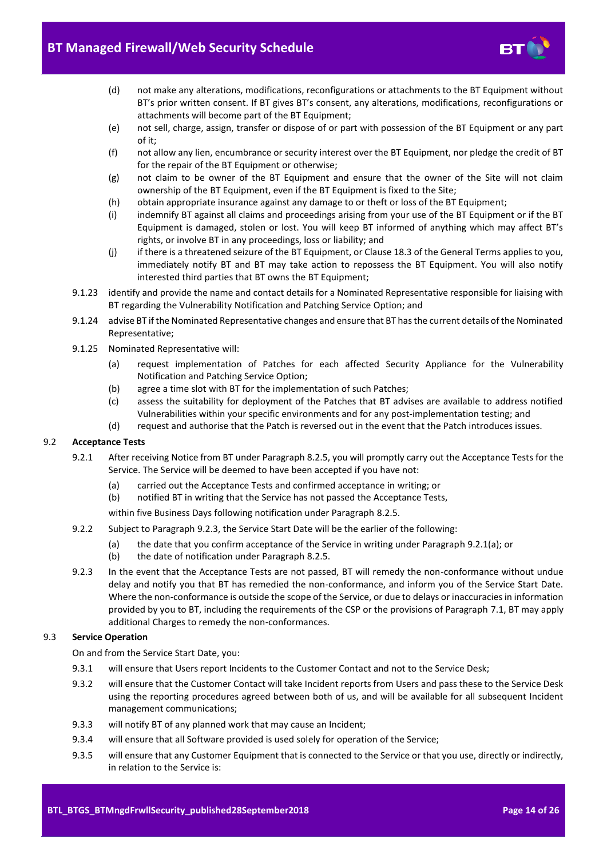

- (d) not make any alterations, modifications, reconfigurations or attachments to the BT Equipment without BT's prior written consent. If BT gives BT's consent, any alterations, modifications, reconfigurations or attachments will become part of the BT Equipment;
- (e) not sell, charge, assign, transfer or dispose of or part with possession of the BT Equipment or any part of it;
- (f) not allow any lien, encumbrance or security interest over the BT Equipment, nor pledge the credit of BT for the repair of the BT Equipment or otherwise;
- (g) not claim to be owner of the BT Equipment and ensure that the owner of the Site will not claim ownership of the BT Equipment, even if the BT Equipment is fixed to the Site;
- (h) obtain appropriate insurance against any damage to or theft or loss of the BT Equipment;
- (i) indemnify BT against all claims and proceedings arising from your use of the BT Equipment or if the BT Equipment is damaged, stolen or lost. You will keep BT informed of anything which may affect BT's rights, or involve BT in any proceedings, loss or liability; and
- (j) if there is a threatened seizure of the BT Equipment, or Clause 18.3 of the General Terms applies to you, immediately notify BT and BT may take action to repossess the BT Equipment. You will also notify interested third parties that BT owns the BT Equipment;
- 9.1.23 identify and provide the name and contact details for a Nominated Representative responsible for liaising with BT regarding the Vulnerability Notification and Patching Service Option; and
- 9.1.24 advise BT if the Nominated Representative changes and ensure that BT has the current details of the Nominated Representative;
- 9.1.25 Nominated Representative will:
	- (a) request implementation of Patches for each affected Security Appliance for the Vulnerability Notification and Patching Service Option;
	- (b) agree a time slot with BT for the implementation of such Patches;
	- (c) assess the suitability for deployment of the Patches that BT advises are available to address notified Vulnerabilities within your specific environments and for any post-implementation testing; and
	- (d) request and authorise that the Patch is reversed out in the event that the Patch introduces issues.

# <span id="page-13-0"></span>9.2 **Acceptance Tests**

- <span id="page-13-2"></span>9.2.1 After receiving Notice from BT under Paragrap[h 8.2.5,](#page-10-0) you will promptly carry out the Acceptance Tests for the Service. The Service will be deemed to have been accepted if you have not:
	- (a) carried out the Acceptance Tests and confirmed acceptance in writing; or
	- (b) notified BT in writing that the Service has not passed the Acceptance Tests,
		- within five Business Days following notification under Paragrap[h 8.2.5.](#page-10-0)
- 9.2.2 Subject to Paragrap[h 9.2.3,](#page-13-1) the Service Start Date will be the earlier of the following:
	- (a) the date that you confirm acceptance of the Service in writing under Paragrap[h 9.2.1\(a\);](#page-13-2) or
	- (b) the date of notification under Paragraph [8.2.5.](#page-10-0)
- <span id="page-13-1"></span>9.2.3 In the event that the Acceptance Tests are not passed, BT will remedy the non-conformance without undue delay and notify you that BT has remedied the non-conformance, and inform you of the Service Start Date. Where the non-conformance is outside the scope of the Service, or due to delays or inaccuracies in information provided by you to BT, including the requirements of the CSP or the provisions of Paragraph [7.1,](#page-8-2) BT may apply additional Charges to remedy the non-conformances.

#### 9.3 **Service Operation**

On and from the Service Start Date, you:

- 9.3.1 will ensure that Users report Incidents to the Customer Contact and not to the Service Desk;
- 9.3.2 will ensure that the Customer Contact will take Incident reports from Users and pass these to the Service Desk using the reporting procedures agreed between both of us, and will be available for all subsequent Incident management communications;
- 9.3.3 will notify BT of any planned work that may cause an Incident;
- 9.3.4 will ensure that all Software provided is used solely for operation of the Service;
- 9.3.5 will ensure that any Customer Equipment that is connected to the Service or that you use, directly or indirectly, in relation to the Service is: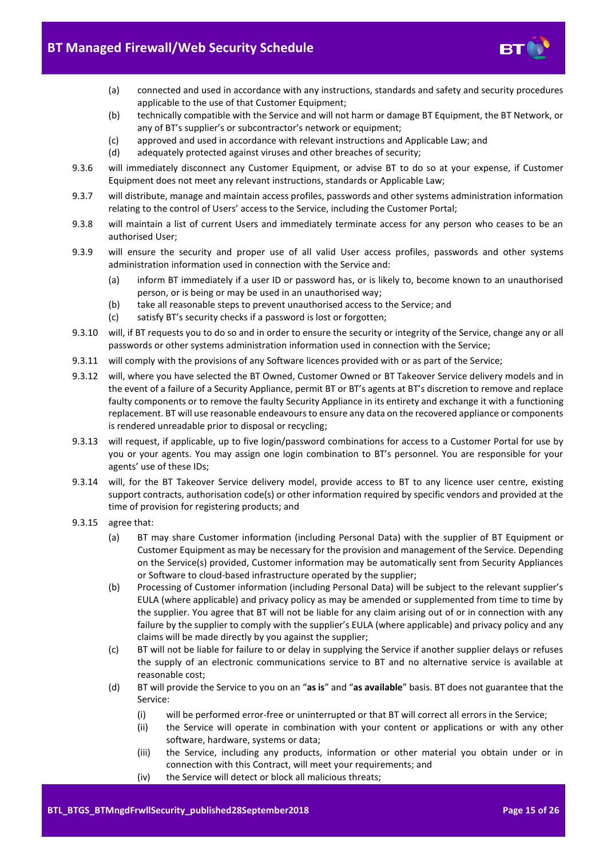

- (a) connected and used in accordance with any instructions, standards and safety and security procedures applicable to the use of that Customer Equipment;
- (b) technically compatible with the Service and will not harm or damage BT Equipment, the BT Network, or any of BT's supplier's or subcontractor's network or equipment;
- (c) approved and used in accordance with relevant instructions and Applicable Law; and
- (d) adequately protected against viruses and other breaches of security;
- 9.3.6 will immediately disconnect any Customer Equipment, or advise BT to do so at your expense, if Customer Equipment does not meet any relevant instructions, standards or Applicable Law;
- 9.3.7 will distribute, manage and maintain access profiles, passwords and other systems administration information relating to the control of Users' access to the Service, including the Customer Portal;
- 9.3.8 will maintain a list of current Users and immediately terminate access for any person who ceases to be an authorised User;
- 9.3.9 will ensure the security and proper use of all valid User access profiles, passwords and other systems administration information used in connection with the Service and:
	- (a) inform BT immediately if a user ID or password has, or is likely to, become known to an unauthorised person, or is being or may be used in an unauthorised way;
	- (b) take all reasonable steps to prevent unauthorised access to the Service; and
	- (c) satisfy BT's security checks if a password is lost or forgotten;
- 9.3.10 will, if BT requests you to do so and in order to ensure the security or integrity of the Service, change any or all passwords or other systems administration information used in connection with the Service;
- 9.3.11 will comply with the provisions of any Software licences provided with or as part of the Service;
- 9.3.12 will, where you have selected the BT Owned, Customer Owned or BT Takeover Service delivery models and in the event of a failure of a Security Appliance, permit BT or BT's agents at BT's discretion to remove and replace faulty components or to remove the faulty Security Appliance in its entirety and exchange it with a functioning replacement. BT will use reasonable endeavours to ensure any data on the recovered appliance or components is rendered unreadable prior to disposal or recycling;
- 9.3.13 will request, if applicable, up to five login/password combinations for access to a Customer Portal for use by you or your agents. You may assign one login combination to BT's personnel. You are responsible for your agents' use of these IDs;
- 9.3.14 will, for the BT Takeover Service delivery model, provide access to BT to any licence user centre, existing support contracts, authorisation code(s) or other information required by specific vendors and provided at the time of provision for registering products; and
- 9.3.15 agree that:
	- (a) BT may share Customer information (including Personal Data) with the supplier of BT Equipment or Customer Equipment as may be necessary for the provision and management of the Service. Depending on the Service(s) provided, Customer information may be automatically sent from Security Appliances or Software to cloud-based infrastructure operated by the supplier;
	- (b) Processing of Customer information (including Personal Data) will be subject to the relevant supplier's EULA (where applicable) and privacy policy as may be amended or supplemented from time to time by the supplier. You agree that BT will not be liable for any claim arising out of or in connection with any failure by the supplier to comply with the supplier's EULA (where applicable) and privacy policy and any claims will be made directly by you against the supplier;
	- (c) BT will not be liable for failure to or delay in supplying the Service if another supplier delays or refuses the supply of an electronic communications service to BT and no alternative service is available at reasonable cost;
	- (d) BT will provide the Service to you on an "**as is**" and "**as available**" basis. BT does not guarantee that the Service:
		- (i) will be performed error-free or uninterrupted or that BT will correct all errors in the Service;
		- (ii) the Service will operate in combination with your content or applications or with any other software, hardware, systems or data;
		- (iii) the Service, including any products, information or other material you obtain under or in connection with this Contract, will meet your requirements; and
		- (iv) the Service will detect or block all malicious threats;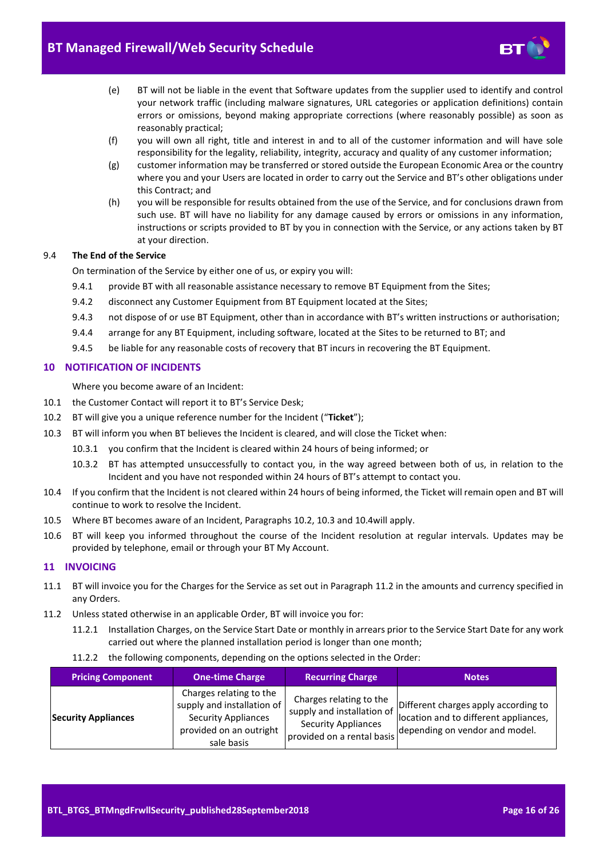

- (e) BT will not be liable in the event that Software updates from the supplier used to identify and control your network traffic (including malware signatures, URL categories or application definitions) contain errors or omissions, beyond making appropriate corrections (where reasonably possible) as soon as reasonably practical;
- (f) you will own all right, title and interest in and to all of the customer information and will have sole responsibility for the legality, reliability, integrity, accuracy and quality of any customer information;
- (g) customer information may be transferred or stored outside the European Economic Area or the country where you and your Users are located in order to carry out the Service and BT's other obligations under this Contract; and
- (h) you will be responsible for results obtained from the use of the Service, and for conclusions drawn from such use. BT will have no liability for any damage caused by errors or omissions in any information, instructions or scripts provided to BT by you in connection with the Service, or any actions taken by BT at your direction.

# 9.4 **The End of the Service**

On termination of the Service by either one of us, or expiry you will:

- 9.4.1 provide BT with all reasonable assistance necessary to remove BT Equipment from the Sites;
- 9.4.2 disconnect any Customer Equipment from BT Equipment located at the Sites;
- 9.4.3 not dispose of or use BT Equipment, other than in accordance with BT's written instructions or authorisation;
- 9.4.4 arrange for any BT Equipment, including software, located at the Sites to be returned to BT; and
- 9.4.5 be liable for any reasonable costs of recovery that BT incurs in recovering the BT Equipment.

# <span id="page-15-0"></span>**10 NOTIFICATION OF INCIDENTS**

Where you become aware of an Incident:

- 10.1 the Customer Contact will report it to BT's Service Desk;
- <span id="page-15-3"></span>10.2 BT will give you a unique reference number for the Incident ("**Ticket**");
- <span id="page-15-4"></span>10.3 BT will inform you when BT believes the Incident is cleared, and will close the Ticket when:
	- 10.3.1 you confirm that the Incident is cleared within 24 hours of being informed; or
	- 10.3.2 BT has attempted unsuccessfully to contact you, in the way agreed between both of us, in relation to the Incident and you have not responded within 24 hours of BT's attempt to contact you.
- <span id="page-15-5"></span>10.4 If you confirm that the Incident is not cleared within 24 hours of being informed, the Ticket will remain open and BT will continue to work to resolve the Incident.
- 10.5 Where BT becomes aware of an Incident, Paragraphs [10.2,](#page-15-3) [10.3](#page-15-4) an[d 10.4w](#page-15-5)ill apply.
- 10.6 BT will keep you informed throughout the course of the Incident resolution at regular intervals. Updates may be provided by telephone, email or through your BT My Account.

# <span id="page-15-1"></span>**11 INVOICING**

- 11.1 BT will invoice you for the Charges for the Service as set out in Paragraph [11.2](#page-15-6) in the amounts and currency specified in any Orders.
- <span id="page-15-7"></span><span id="page-15-6"></span>11.2 Unless stated otherwise in an applicable Order, BT will invoice you for:
	- 11.2.1 Installation Charges, on the Service Start Date or monthly in arrears prior to the Service Start Date for any work carried out where the planned installation period is longer than one month;
	- 11.2.2 the following components, depending on the options selected in the Order:

<span id="page-15-2"></span>

| <b>Pricing Component</b>   | <b>One-time Charge</b>                                                                                                       | <b>Recurring Charge</b>                                                                                           | <b>Notes</b>                                                                                                    |
|----------------------------|------------------------------------------------------------------------------------------------------------------------------|-------------------------------------------------------------------------------------------------------------------|-----------------------------------------------------------------------------------------------------------------|
| <b>Security Appliances</b> | Charges relating to the<br>supply and installation of<br><b>Security Appliances</b><br>provided on an outright<br>sale basis | Charges relating to the<br>supply and installation of<br><b>Security Appliances</b><br>provided on a rental basis | Different charges apply according to<br>location and to different appliances,<br>depending on vendor and model. |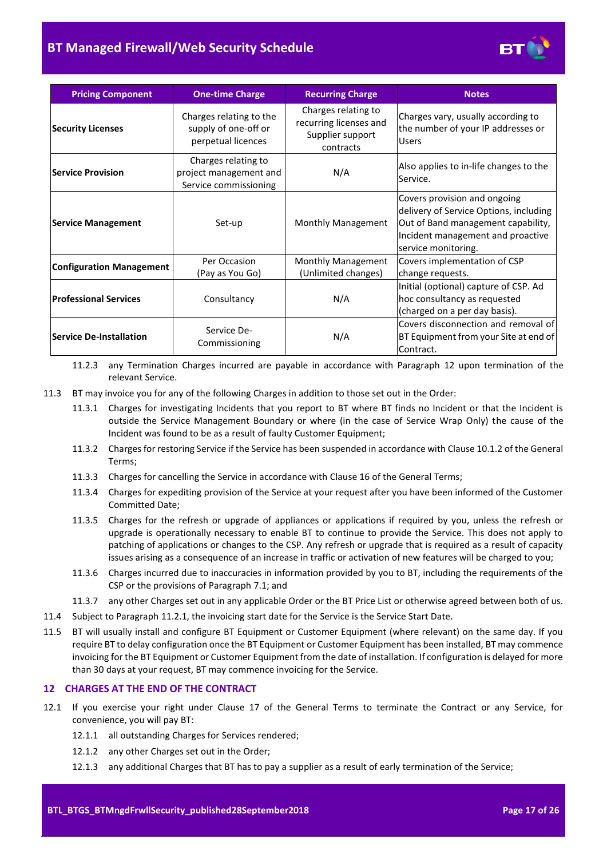# **BT Managed Firewall/Web Security Schedule**



| <b>Pricing Component</b>                                       | <b>One-time Charge</b>                                                 | <b>Recurring Charge</b>                                                        | <b>Notes</b>                                                                                                                                                             |
|----------------------------------------------------------------|------------------------------------------------------------------------|--------------------------------------------------------------------------------|--------------------------------------------------------------------------------------------------------------------------------------------------------------------------|
| <b>Security Licenses</b>                                       | Charges relating to the<br>supply of one-off or<br>perpetual licences  | Charges relating to<br>recurring licenses and<br>Supplier support<br>contracts | Charges vary, usually according to<br>the number of your IP addresses or<br><b>Users</b>                                                                                 |
| <b>Service Provision</b>                                       | Charges relating to<br>project management and<br>Service commissioning | N/A                                                                            | Also applies to in-life changes to the<br>Service.                                                                                                                       |
| <b>Service Management</b>                                      | Set-up                                                                 | Monthly Management                                                             | Covers provision and ongoing<br>delivery of Service Options, including<br>Out of Band management capability,<br>Incident management and proactive<br>service monitoring. |
| <b>Configuration Management</b>                                | Per Occasion<br>(Pay as You Go)                                        | Monthly Management<br>(Unlimited changes)                                      | Covers implementation of CSP<br>change requests.                                                                                                                         |
| <b>Professional Services</b>                                   | Consultancy                                                            | N/A                                                                            | Initial (optional) capture of CSP. Ad<br>hoc consultancy as requested<br>(charged on a per day basis).                                                                   |
| Service De-<br><b>Service De-Installation</b><br>Commissioning |                                                                        | N/A                                                                            | Covers disconnection and removal of<br>BT Equipment from your Site at end of<br>Contract.                                                                                |

11.2.3 any Termination Charges incurred are payable in accordance with Paragraph [12](#page-16-0) upon termination of the relevant Service.

- 11.3 BT may invoice you for any of the following Charges in addition to those set out in the Order:
	- 11.3.1 Charges for investigating Incidents that you report to BT where BT finds no Incident or that the Incident is outside the Service Management Boundary or where (in the case of Service Wrap Only) the cause of the Incident was found to be as a result of faulty Customer Equipment;
	- 11.3.2 Charges for restoring Service if the Service has been suspended in accordance with Clause 10.1.2 of the General Terms;
	- 11.3.3 Charges for cancelling the Service in accordance with Clause 16 of the General Terms;
	- 11.3.4 Charges for expediting provision of the Service at your request after you have been informed of the Customer Committed Date;
	- 11.3.5 Charges for the refresh or upgrade of appliances or applications if required by you, unless the refresh or upgrade is operationally necessary to enable BT to continue to provide the Service. This does not apply to patching of applications or changes to the CSP. Any refresh or upgrade that is required as a result of capacity issues arising as a consequence of an increase in traffic or activation of new features will be charged to you;
	- 11.3.6 Charges incurred due to inaccuracies in information provided by you to BT, including the requirements of the CSP or the provisions of Paragraph [7.1;](#page-8-2) and
	- 11.3.7 any other Charges set out in any applicable Order or the BT Price List or otherwise agreed between both of us.
- 11.4 Subject to Paragraph [11.2.1,](#page-15-7) the invoicing start date for the Service is the Service Start Date.
- <span id="page-16-1"></span>11.5 BT will usually install and configure BT Equipment or Customer Equipment (where relevant) on the same day. If you require BT to delay configuration once the BT Equipment or Customer Equipment has been installed, BT may commence invoicing for the BT Equipment or Customer Equipment from the date of installation. If configuration is delayed for more than 30 days at your request, BT may commence invoicing for the Service.

#### <span id="page-16-0"></span>**12 CHARGES AT THE END OF THE CONTRACT**

- <span id="page-16-2"></span>12.1 If you exercise your right under Clause 17 of the General Terms to terminate the Contract or any Service, for convenience, you will pay BT:
	- 12.1.1 all outstanding Charges for Services rendered;
	- 12.1.2 any other Charges set out in the Order;
	- 12.1.3 any additional Charges that BT has to pay a supplier as a result of early termination of the Service;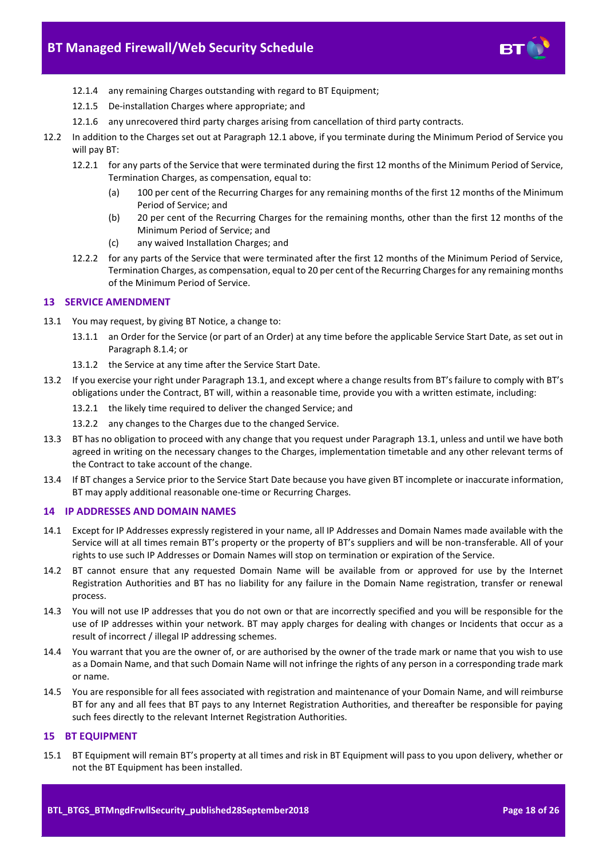

- 12.1.4 any remaining Charges outstanding with regard to BT Equipment;
- 12.1.5 De-installation Charges where appropriate; and
- 12.1.6 any unrecovered third party charges arising from cancellation of third party contracts.
- <span id="page-17-3"></span>12.2 In addition to the Charges set out at Paragrap[h 12.1](#page-16-2) above, if you terminate during the Minimum Period of Service you will pay BT:
	- 12.2.1 for any parts of the Service that were terminated during the first 12 months of the Minimum Period of Service, Termination Charges, as compensation, equal to:
		- (a) 100 per cent of the Recurring Charges for any remaining months of the first 12 months of the Minimum Period of Service; and
		- (b) 20 per cent of the Recurring Charges for the remaining months, other than the first 12 months of the Minimum Period of Service; and
		- (c) any waived Installation Charges; and
	- 12.2.2 for any parts of the Service that were terminated after the first 12 months of the Minimum Period of Service, Termination Charges, as compensation, equal to 20 per cent of the Recurring Charges for any remaining months of the Minimum Period of Service.

# <span id="page-17-0"></span>**13 SERVICE AMENDMENT**

- <span id="page-17-4"></span>13.1 You may request, by giving BT Notice, a change to:
	- 13.1.1 an Order for the Service (or part of an Order) at any time before the applicable Service Start Date, as set out in Paragrap[h 8.1.4;](#page-9-2) or
	- 13.1.2 the Service at any time after the Service Start Date.
- 13.2 If you exercise your right under Paragrap[h 13.1,](#page-17-4) and except where a change results from BT's failure to comply with BT's obligations under the Contract, BT will, within a reasonable time, provide you with a written estimate, including:
	- 13.2.1 the likely time required to deliver the changed Service; and
	- 13.2.2 any changes to the Charges due to the changed Service.
- 13.3 BT has no obligation to proceed with any change that you request under Paragraph [13.1,](#page-17-4) unless and until we have both agreed in writing on the necessary changes to the Charges, implementation timetable and any other relevant terms of the Contract to take account of the change.
- 13.4 If BT changes a Service prior to the Service Start Date because you have given BT incomplete or inaccurate information, BT may apply additional reasonable one-time or Recurring Charges.

#### <span id="page-17-1"></span>**14 IP ADDRESSES AND DOMAIN NAMES**

- 14.1 Except for IP Addresses expressly registered in your name, all IP Addresses and Domain Names made available with the Service will at all times remain BT's property or the property of BT's suppliers and will be non-transferable. All of your rights to use such IP Addresses or Domain Names will stop on termination or expiration of the Service.
- 14.2 BT cannot ensure that any requested Domain Name will be available from or approved for use by the Internet Registration Authorities and BT has no liability for any failure in the Domain Name registration, transfer or renewal process.
- 14.3 You will not use IP addresses that you do not own or that are incorrectly specified and you will be responsible for the use of IP addresses within your network. BT may apply charges for dealing with changes or Incidents that occur as a result of incorrect / illegal IP addressing schemes.
- 14.4 You warrant that you are the owner of, or are authorised by the owner of the trade mark or name that you wish to use as a Domain Name, and that such Domain Name will not infringe the rights of any person in a corresponding trade mark or name.
- 14.5 You are responsible for all fees associated with registration and maintenance of your Domain Name, and will reimburse BT for any and all fees that BT pays to any Internet Registration Authorities, and thereafter be responsible for paying such fees directly to the relevant Internet Registration Authorities.

# <span id="page-17-2"></span>**15 BT EQUIPMENT**

15.1 BT Equipment will remain BT's property at all times and risk in BT Equipment will pass to you upon delivery, whether or not the BT Equipment has been installed.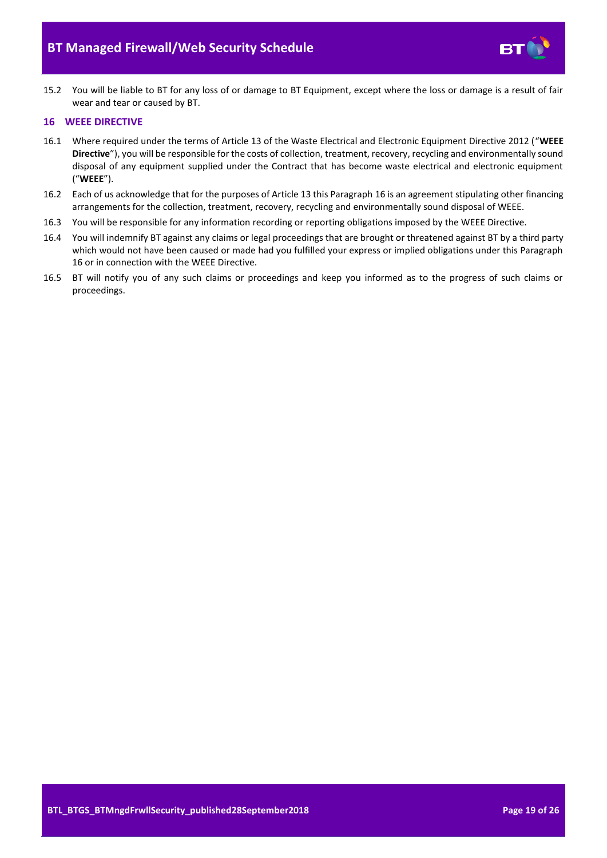

15.2 You will be liable to BT for any loss of or damage to BT Equipment, except where the loss or damage is a result of fair wear and tear or caused by BT.

#### <span id="page-18-0"></span>**16 WEEE DIRECTIVE**

- <span id="page-18-1"></span>16.1 Where required under the terms of Article 13 of the Waste Electrical and Electronic Equipment Directive 2012 ("**WEEE Directive**"), you will be responsible for the costs of collection, treatment, recovery, recycling and environmentally sound disposal of any equipment supplied under the Contract that has become waste electrical and electronic equipment ("**WEEE**").
- 16.2 Each of us acknowledge that for the purposes of Article 13 this Paragrap[h 16](#page-18-0) is an agreement stipulating other financing arrangements for the collection, treatment, recovery, recycling and environmentally sound disposal of WEEE.
- 16.3 You will be responsible for any information recording or reporting obligations imposed by the WEEE Directive.
- 16.4 You will indemnify BT against any claims or legal proceedings that are brought or threatened against BT by a third party which would not have been caused or made had you fulfilled your express or implied obligations under this Paragraph [16](#page-18-0) or in connection with the WEEE Directive.
- 16.5 BT will notify you of any such claims or proceedings and keep you informed as to the progress of such claims or proceedings.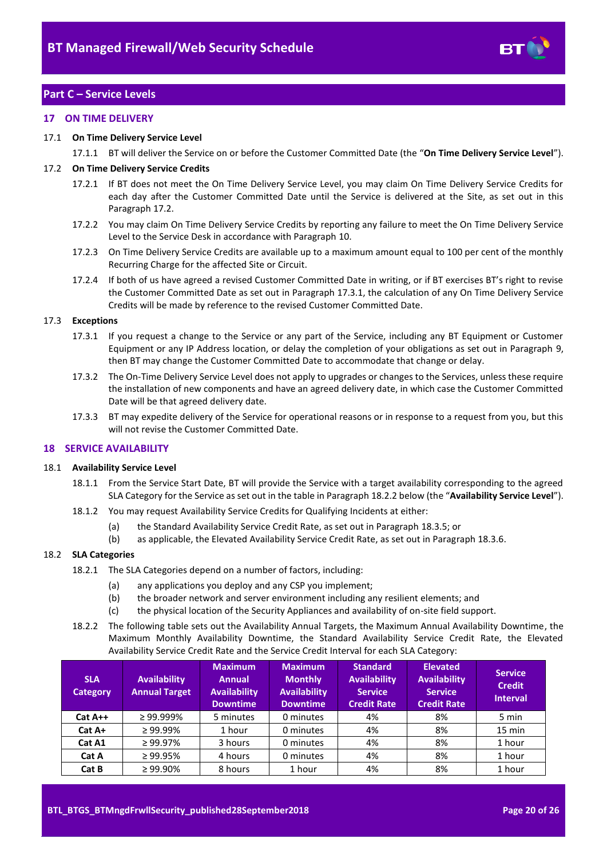

# <span id="page-19-0"></span>**Part C – Service Levels**

#### <span id="page-19-1"></span>**17 ON TIME DELIVERY**

#### <span id="page-19-7"></span>17.1 **On Time Delivery Service Level**

17.1.1 BT will deliver the Service on or before the Customer Committed Date (the "**On Time Delivery Service Level**").

#### <span id="page-19-3"></span>17.2 **On Time Delivery Service Credits**

- 17.2.1 If BT does not meet the On Time Delivery Service Level, you may claim On Time Delivery Service Credits for each day after the Customer Committed Date until the Service is delivered at the Site, as set out in this Paragrap[h 17.2.](#page-19-3)
- 17.2.2 You may claim On Time Delivery Service Credits by reporting any failure to meet the On Time Delivery Service Level to the Service Desk in accordance with Paragraph [10.](#page-15-0)
- 17.2.3 On Time Delivery Service Credits are available up to a maximum amount equal to 100 per cent of the monthly Recurring Charge for the affected Site or Circuit.
- 17.2.4 If both of us have agreed a revised Customer Committed Date in writing, or if BT exercises BT's right to revise the Customer Committed Date as set out in Paragrap[h 17.3.1,](#page-19-4) the calculation of any On Time Delivery Service Credits will be made by reference to the revised Customer Committed Date.

#### <span id="page-19-4"></span>17.3 **Exceptions**

- 17.3.1 If you request a change to the Service or any part of the Service, including any BT Equipment or Customer Equipment or any IP Address location, or delay the completion of your obligations as set out in Paragraph [9,](#page-11-0)  then BT may change the Customer Committed Date to accommodate that change or delay.
- 17.3.2 The On-Time Delivery Service Level does not apply to upgrades or changes to the Services, unless these require the installation of new components and have an agreed delivery date, in which case the Customer Committed Date will be that agreed delivery date.
- 17.3.3 BT may expedite delivery of the Service for operational reasons or in response to a request from you, but this will not revise the Customer Committed Date.

#### <span id="page-19-2"></span>**18 SERVICE AVAILABILITY**

#### <span id="page-19-6"></span>18.1 **Availability Service Level**

- 18.1.1 From the Service Start Date, BT will provide the Service with a target availability corresponding to the agreed SLA Category for the Service as set out in the table in Paragrap[h 18.2.2](#page-19-5) below (the "**Availability Service Level**").
- 18.1.2 You may request Availability Service Credits for Qualifying Incidents at either:
	- (a) the Standard Availability Service Credit Rate, as set out in Paragraph [18.3.5;](#page-20-2) or
	- (b) as applicable, the Elevated Availability Service Credit Rate, as set out in Paragrap[h 18.3.6.](#page-20-3)

#### 18.2 **SLA Categories**

- 18.2.1 The SLA Categories depend on a number of factors, including:
	- (a) any applications you deploy and any CSP you implement;
	- (b) the broader network and server environment including any resilient elements; and
	- (c) the physical location of the Security Appliances and availability of on-site field support.
- <span id="page-19-5"></span>18.2.2 The following table sets out the Availability Annual Targets, the Maximum Annual Availability Downtime, the Maximum Monthly Availability Downtime, the Standard Availability Service Credit Rate, the Elevated Availability Service Credit Rate and the Service Credit Interval for each SLA Category:

| <b>SLA</b><br><b>Category</b> | <b>Availability</b><br><b>Annual Target</b> | <b>Maximum</b><br><b>Annual</b><br><b>Availability</b><br><b>Downtime</b> | <b>Maximum</b><br><b>Monthly</b><br><b>Availability</b><br><b>Downtime</b> | <b>Standard</b><br><b>Availability</b><br><b>Service</b><br><b>Credit Rate</b> | <b>Elevated</b><br><b>Availability</b><br><b>Service</b><br><b>Credit Rate</b> | <b>Service</b><br><b>Credit</b><br><b>Interval</b> |
|-------------------------------|---------------------------------------------|---------------------------------------------------------------------------|----------------------------------------------------------------------------|--------------------------------------------------------------------------------|--------------------------------------------------------------------------------|----------------------------------------------------|
| $Cat A++$                     | $\geq$ 99.999%                              | 5 minutes                                                                 | 0 minutes                                                                  | 4%                                                                             | 8%                                                                             | 5 min                                              |
| Cat A+                        | $\geq 99.99\%$                              | 1 hour                                                                    | 0 minutes                                                                  | 4%                                                                             | 8%                                                                             | $15 \text{ min}$                                   |
| Cat A1                        | $\geq$ 99.97%                               | 3 hours                                                                   | 0 minutes                                                                  | 4%                                                                             | 8%                                                                             | 1 hour                                             |
| Cat A                         | $\geq 99.95\%$                              | 4 hours                                                                   | 0 minutes                                                                  | 4%                                                                             | 8%                                                                             | 1 hour                                             |
| Cat B                         | $\geq 99.90\%$                              | 8 hours                                                                   | 1 hour                                                                     | 4%                                                                             | 8%                                                                             | 1 hour                                             |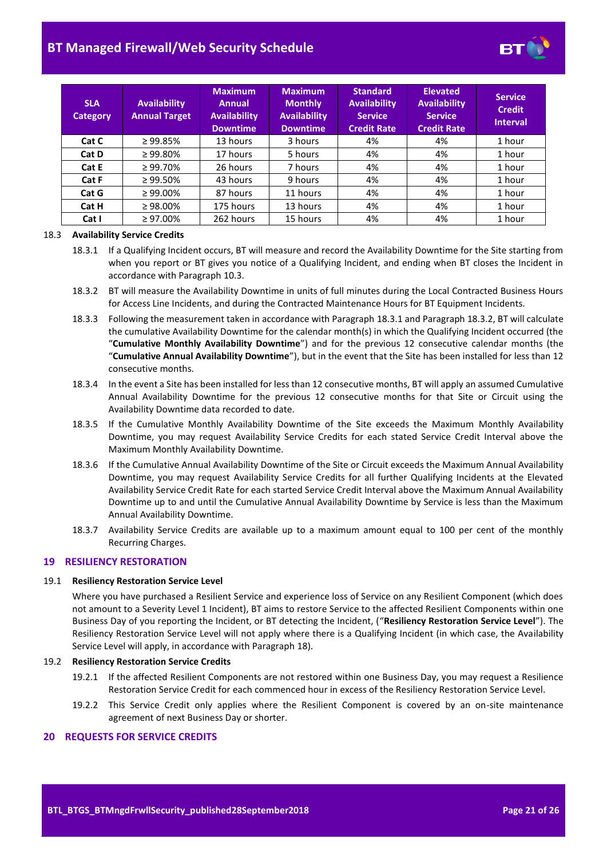# **BT Managed Firewall/Web Security Schedule**



| <b>SLA</b><br><b>Category</b> | <b>Availability</b><br><b>Annual Target</b> | <b>Maximum</b><br>Annual<br><b>Availability</b><br><b>Downtime</b> | <b>Maximum</b><br><b>Monthly</b><br><b>Availability</b><br><b>Downtime</b> | <b>Standard</b><br><b>Availability</b><br><b>Service</b><br><b>Credit Rate</b> | <b>Elevated</b><br><b>Availability</b><br><b>Service</b><br><b>Credit Rate</b> | <b>Service</b><br><b>Credit</b><br><b>Interval</b> |
|-------------------------------|---------------------------------------------|--------------------------------------------------------------------|----------------------------------------------------------------------------|--------------------------------------------------------------------------------|--------------------------------------------------------------------------------|----------------------------------------------------|
| Cat C                         | $\geq 99.85\%$                              | 13 hours                                                           | 3 hours                                                                    | 4%                                                                             | 4%                                                                             | 1 hour                                             |
| Cat D                         | $\geq 99.80\%$                              | 17 hours                                                           | 5 hours                                                                    | 4%                                                                             | 4%                                                                             | 1 hour                                             |
| Cat E                         | $\geq 99.70\%$                              | 26 hours                                                           | 7 hours                                                                    | 4%                                                                             | 4%                                                                             | 1 hour                                             |
| Cat F                         | $\geq 99.50\%$                              | 43 hours                                                           | 9 hours                                                                    | 4%                                                                             | 4%                                                                             | 1 hour                                             |
| Cat G                         | $\geq 99.00\%$                              | 87 hours                                                           | 11 hours                                                                   | 4%                                                                             | 4%                                                                             | 1 hour                                             |
| Cat H                         | $\geq 98.00\%$                              | 175 hours                                                          | 13 hours                                                                   | 4%                                                                             | 4%                                                                             | 1 hour                                             |
| Cat I                         | $\geq 97.00\%$                              | 262 hours                                                          | 15 hours                                                                   | 4%                                                                             | 4%                                                                             | 1 hour                                             |

#### <span id="page-20-4"></span>18.3 **Availability Service Credits**

- 18.3.1 If a Qualifying Incident occurs, BT will measure and record the Availability Downtime for the Site starting from when you report or BT gives you notice of a Qualifying Incident, and ending when BT closes the Incident in accordance with Paragrap[h 10.3.](#page-15-4)
- <span id="page-20-5"></span>18.3.2 BT will measure the Availability Downtime in units of full minutes during the Local Contracted Business Hours for Access Line Incidents, and during the Contracted Maintenance Hours for BT Equipment Incidents.
- <span id="page-20-6"></span>18.3.3 Following the measurement taken in accordance with Paragrap[h 18.3.1](#page-20-4) and Paragrap[h 18.3.2,](#page-20-5) BT will calculate the cumulative Availability Downtime for the calendar month(s) in which the Qualifying Incident occurred (the "**Cumulative Monthly Availability Downtime**") and for the previous 12 consecutive calendar months (the "**Cumulative Annual Availability Downtime**"), but in the event that the Site has been installed for less than 12 consecutive months.
- 18.3.4 In the event a Site has been installed for less than 12 consecutive months, BT will apply an assumed Cumulative Annual Availability Downtime for the previous 12 consecutive months for that Site or Circuit using the Availability Downtime data recorded to date.
- <span id="page-20-2"></span>18.3.5 If the Cumulative Monthly Availability Downtime of the Site exceeds the Maximum Monthly Availability Downtime, you may request Availability Service Credits for each stated Service Credit Interval above the Maximum Monthly Availability Downtime.
- <span id="page-20-3"></span>18.3.6 If the Cumulative Annual Availability Downtime of the Site or Circuit exceeds the Maximum Annual Availability Downtime, you may request Availability Service Credits for all further Qualifying Incidents at the Elevated Availability Service Credit Rate for each started Service Credit Interval above the Maximum Annual Availability Downtime up to and until the Cumulative Annual Availability Downtime by Service is less than the Maximum Annual Availability Downtime.
- 18.3.7 Availability Service Credits are available up to a maximum amount equal to 100 per cent of the monthly Recurring Charges.

#### <span id="page-20-0"></span>**19 RESILIENCY RESTORATION**

#### <span id="page-20-7"></span>19.1 **Resiliency Restoration Service Level**

Where you have purchased a Resilient Service and experience loss of Service on any Resilient Component (which does not amount to a Severity Level 1 Incident), BT aims to restore Service to the affected Resilient Components within one Business Day of you reporting the Incident, or BT detecting the Incident, ("**Resiliency Restoration Service Level**"). The Resiliency Restoration Service Level will not apply where there is a Qualifying Incident (in which case, the Availability Service Level will apply, in accordance with Paragrap[h 18\)](#page-19-2).

#### 19.2 **Resiliency Restoration Service Credits**

- 19.2.1 If the affected Resilient Components are not restored within one Business Day, you may request a Resilience Restoration Service Credit for each commenced hour in excess of the Resiliency Restoration Service Level.
- 19.2.2 This Service Credit only applies where the Resilient Component is covered by an on-site maintenance agreement of next Business Day or shorter.

#### <span id="page-20-1"></span>**20 REQUESTS FOR SERVICE CREDITS**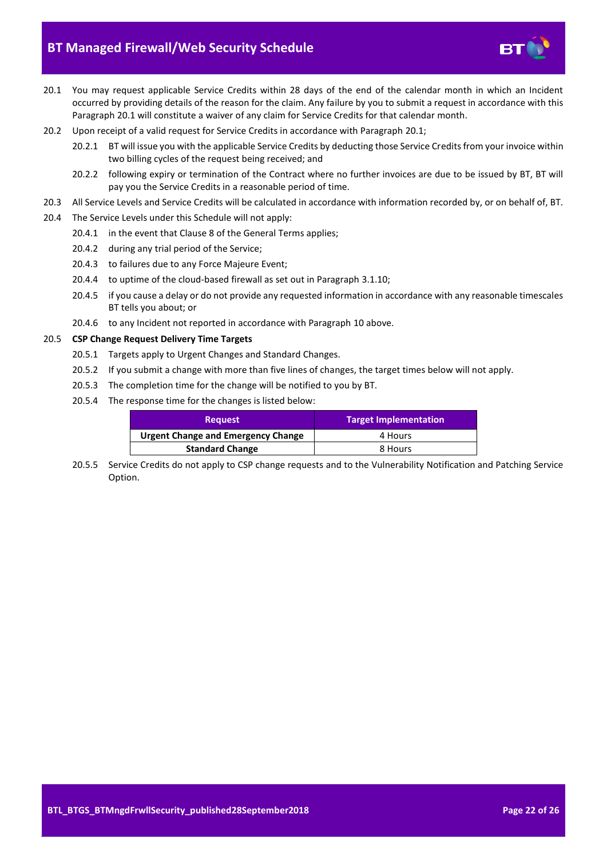# **BT Managed Firewall/Web Security Schedule**

- 
- <span id="page-21-0"></span>20.1 You may request applicable Service Credits within 28 days of the end of the calendar month in which an Incident occurred by providing details of the reason for the claim. Any failure by you to submit a request in accordance with this Paragraph [20.1](#page-21-0) will constitute a waiver of any claim for Service Credits for that calendar month.
- 20.2 Upon receipt of a valid request for Service Credits in accordance with Paragraph [20.1;](#page-21-0)
	- 20.2.1 BT will issue you with the applicable Service Credits by deducting those Service Credits from your invoice within two billing cycles of the request being received; and
	- 20.2.2 following expiry or termination of the Contract where no further invoices are due to be issued by BT, BT will pay you the Service Credits in a reasonable period of time.
- 20.3 All Service Levels and Service Credits will be calculated in accordance with information recorded by, or on behalf of, BT.
- 20.4 The Service Levels under this Schedule will not apply:
	- 20.4.1 in the event that Clause 8 of the General Terms applies;
	- 20.4.2 during any trial period of the Service;
	- 20.4.3 to failures due to any Force Majeure Event;
	- 20.4.4 to uptime of the cloud-based firewall as set out in Paragraph [3.1.10;](#page-4-1)
	- 20.4.5 if you cause a delay or do not provide any requested information in accordance with any reasonable timescales BT tells you about; or
	- 20.4.6 to any Incident not reported in accordance with Paragraph [10](#page-15-0) above.

#### 20.5 **CSP Change Request Delivery Time Targets**

- 20.5.1 Targets apply to Urgent Changes and Standard Changes.
- 20.5.2 If you submit a change with more than five lines of changes, the target times below will not apply.
- 20.5.3 The completion time for the change will be notified to you by BT.
- 20.5.4 The response time for the changes is listed below:

| <b>Request</b>                            | Target Implementation |
|-------------------------------------------|-----------------------|
| <b>Urgent Change and Emergency Change</b> | 4 Hours               |
| <b>Standard Change</b>                    | 8 Hours               |

20.5.5 Service Credits do not apply to CSP change requests and to the Vulnerability Notification and Patching Service Option.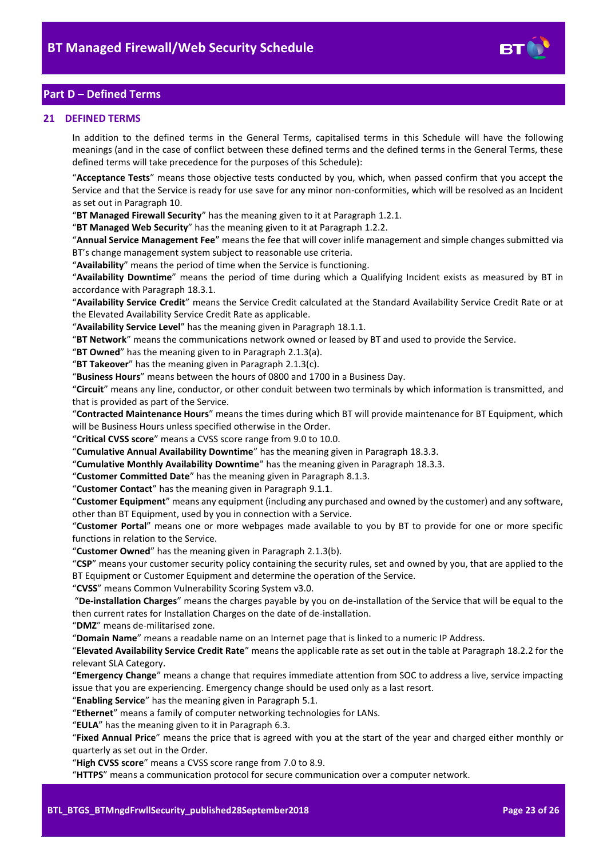

# <span id="page-22-0"></span>**Part D – Defined Terms**

#### <span id="page-22-1"></span>**21 DEFINED TERMS**

In addition to the defined terms in the General Terms, capitalised terms in this Schedule will have the following meanings (and in the case of conflict between these defined terms and the defined terms in the General Terms, these defined terms will take precedence for the purposes of this Schedule):

"**Acceptance Tests**" means those objective tests conducted by you, which, when passed confirm that you accept the Service and that the Service is ready for use save for any minor non-conformities, which will be resolved as an Incident as set out in Paragraph [10.](#page-15-0)

"**BT Managed Firewall Security**" has the meaning given to it at Paragraph [1.2.1.](#page-1-6)

"**BT Managed Web Security**" has the meaning given to it at Paragrap[h 1.2.2.](#page-1-7)

"**Annual Service Management Fee**" means the fee that will cover inlife management and simple changes submitted via BT's change management system subject to reasonable use criteria.

"**Availability**" means the period of time when the Service is functioning.

"**Availability Downtime**" means the period of time during which a Qualifying Incident exists as measured by BT in accordance with Paragraph [18.3.1.](#page-20-4) 

"**Availability Service Credit**" means the Service Credit calculated at the Standard Availability Service Credit Rate or at the Elevated Availability Service Credit Rate as applicable.

"**Availability Service Level**" has the meaning given in Paragraph [18.1.1.](#page-19-6)

"**BT Network**" means the communications network owned or leased by BT and used to provide the Service.

"**BT Owned**" has the meaning given to in Paragrap[h 2.1.3\(a\).](#page-1-8)

"**BT Takeover**" has the meaning given in Paragraph [2.1.3\(c\).](#page-1-9)

"**Business Hours**" means between the hours of 0800 and 1700 in a Business Day.

"**Circuit**" means any line, conductor, or other conduit between two terminals by which information is transmitted, and that is provided as part of the Service.

"**Contracted Maintenance Hours**" means the times during which BT will provide maintenance for BT Equipment, which will be Business Hours unless specified otherwise in the Order.

"**Critical CVSS score**" means a CVSS score range from 9.0 to 10.0.

"**Cumulative Annual Availability Downtime**" has the meaning given in Paragrap[h 18.3.3.](#page-20-6)

"**Cumulative Monthly Availability Downtime**" has the meaning given in Paragrap[h 18.3.3.](#page-20-6)

"**Customer Committed Date**" has the meaning given in Paragraph [8.1.3.](#page-9-3)

"**Customer Contact**" has the meaning given in Paragrap[h 9.1.1.](#page-11-1)

"**Customer Equipment**" means any equipment (including any purchased and owned by the customer) and any software, other than BT Equipment, used by you in connection with a Service.

"**Customer Portal**" means one or more webpages made available to you by BT to provide for one or more specific functions in relation to the Service.

"**Customer Owned**" has the meaning given in Paragrap[h 2.1.3\(b\).](#page-1-10)

"**CSP**" means your customer security policy containing the security rules, set and owned by you, that are applied to the BT Equipment or Customer Equipment and determine the operation of the Service.

"**CVSS**" means Common Vulnerability Scoring System v3.0.

"**De-installation Charges**" means the charges payable by you on de-installation of the Service that will be equal to the then current rates for Installation Charges on the date of de-installation.

"**DMZ**" means de-militarised zone.

"**Domain Name**" means a readable name on an Internet page that is linked to a numeric IP Address.

"**Elevated Availability Service Credit Rate**" means the applicable rate as set out in the table at Paragrap[h 18.2.2](#page-19-5) for the relevant SLA Category.

"**Emergency Change**" means a change that requires immediate attention from SOC to address a live, service impacting issue that you are experiencing. Emergency change should be used only as a last resort.

"**Enabling Service**" has the meaning given in Paragrap[h 5.1.](#page-6-6)

"**Ethernet**" means a family of computer networking technologies for LANs.

"**EULA**" has the meaning given to it in Paragrap[h 6.3.](#page-7-3)

"**Fixed Annual Price**" means the price that is agreed with you at the start of the year and charged either monthly or quarterly as set out in the Order.

"**High CVSS score**" means a CVSS score range from 7.0 to 8.9.

"**HTTPS**" means a communication protocol for secure communication over a computer network.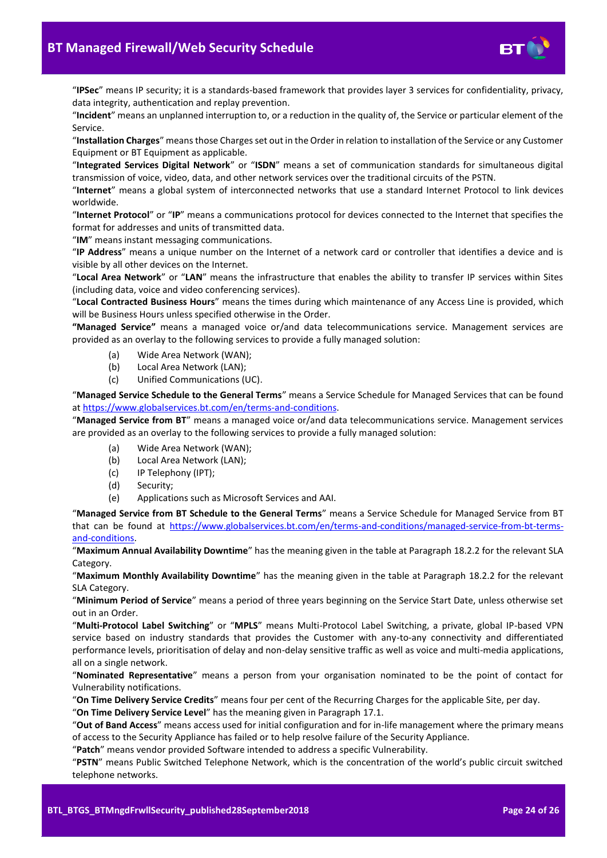

"**IPSec**" means IP security; it is a standards-based framework that provides layer 3 services for confidentiality, privacy, data integrity, authentication and replay prevention.

"**Incident**" means an unplanned interruption to, or a reduction in the quality of, the Service or particular element of the Service.

"**Installation Charges**" means those Charges set out in the Order in relation to installation of the Service or any Customer Equipment or BT Equipment as applicable.

"**Integrated Services Digital Network**" or "**ISDN**" means a set of communication standards for simultaneous digital transmission of voice, video, data, and other network services over the traditional circuits of the PSTN.

"**Internet**" means a global system of interconnected networks that use a standard Internet Protocol to link devices worldwide.

"**Internet Protocol**" or "**IP**" means a communications protocol for devices connected to the Internet that specifies the format for addresses and units of transmitted data.

"**IM**" means instant messaging communications.

"**IP Address**" means a unique number on the Internet of a network card or controller that identifies a device and is visible by all other devices on the Internet.

"**Local Area Network**" or "**LAN**" means the infrastructure that enables the ability to transfer IP services within Sites (including data, voice and video conferencing services).

"**Local Contracted Business Hours**" means the times during which maintenance of any Access Line is provided, which will be Business Hours unless specified otherwise in the Order.

**"Managed Service"** means a managed voice or/and data telecommunications service. Management services are provided as an overlay to the following services to provide a fully managed solution:

- (a) Wide Area Network (WAN);
- (b) Local Area Network (LAN);
- (c) Unified Communications (UC).

"**Managed Service Schedule to the General Terms**" means a Service Schedule for Managed Services that can be found a[t https://www.globalservices.bt.com/en/terms-and-conditions.](https://www.globalservices.bt.com/en/terms-and-conditions) 

"**Managed Service from BT**" means a managed voice or/and data telecommunications service. Management services are provided as an overlay to the following services to provide a fully managed solution:

- (a) Wide Area Network (WAN);
- (b) Local Area Network (LAN);
- (c) IP Telephony (IPT);
- (d) Security;
- (e) Applications such as Microsoft Services and AAI.

"**Managed Service from BT Schedule to the General Terms**" means a Service Schedule for Managed Service from BT that can be found at [https://www.globalservices.bt.com/en/terms-and-conditions/managed-service-from-bt-terms](https://www.globalservices.bt.com/en/terms-and-conditions/managed-service-from-bt-terms-and-conditions)[and-conditions.](https://www.globalservices.bt.com/en/terms-and-conditions/managed-service-from-bt-terms-and-conditions)

"**Maximum Annual Availability Downtime**" has the meaning given in the table at Paragrap[h 18.2.2](#page-19-5) for the relevant SLA Category.

"**Maximum Monthly Availability Downtime**" has the meaning given in the table at Paragraph [18.2.2](#page-19-5) for the relevant SLA Category.

"**Minimum Period of Service**" means a period of three years beginning on the Service Start Date, unless otherwise set out in an Order.

"**Multi-Protocol Label Switching**" or "**MPLS**" means Multi-Protocol Label Switching, a private, global IP-based VPN service based on industry standards that provides the Customer with any-to-any connectivity and differentiated performance levels, prioritisation of delay and non-delay sensitive traffic as well as voice and multi-media applications, all on a single network.

"**Nominated Representative**" means a person from your organisation nominated to be the point of contact for Vulnerability notifications.

"**On Time Delivery Service Credits**" means four per cent of the Recurring Charges for the applicable Site, per day.

"**On Time Delivery Service Level**" has the meaning given in Paragraph [17.1.](#page-19-7)

"**Out of Band Access**" means access used for initial configuration and for in-life management where the primary means of access to the Security Appliance has failed or to help resolve failure of the Security Appliance.

"**Patch**" means vendor provided Software intended to address a specific Vulnerability.

"**PSTN**" means Public Switched Telephone Network, which is the concentration of the world's public circuit switched telephone networks.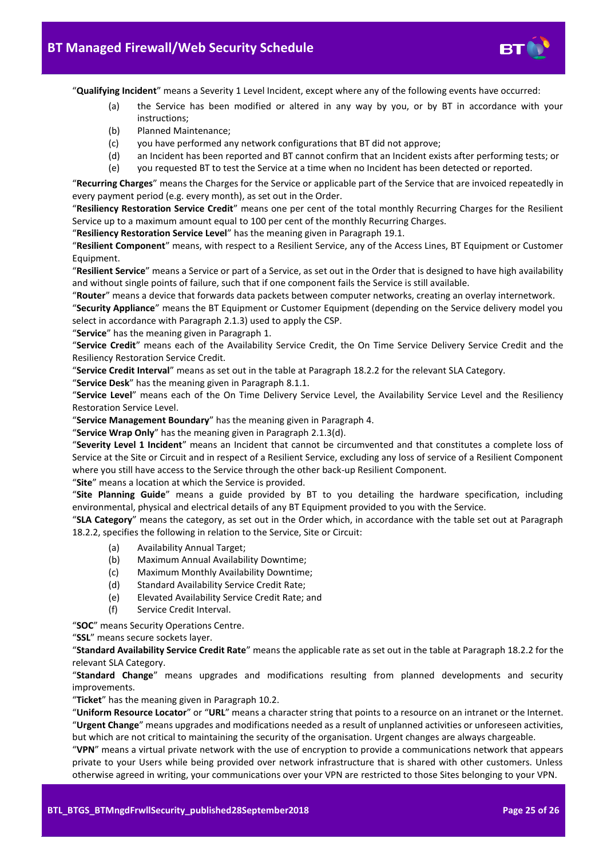

"**Qualifying Incident**" means a Severity 1 Level Incident, except where any of the following events have occurred:

- (a) the Service has been modified or altered in any way by you, or by BT in accordance with your instructions;
- (b) Planned Maintenance;
- (c) you have performed any network configurations that BT did not approve;
- (d) an Incident has been reported and BT cannot confirm that an Incident exists after performing tests; or
- (e) you requested BT to test the Service at a time when no Incident has been detected or reported.

"**Recurring Charges**" means the Charges for the Service or applicable part of the Service that are invoiced repeatedly in every payment period (e.g. every month), as set out in the Order.

"**Resiliency Restoration Service Credit**" means one per cent of the total monthly Recurring Charges for the Resilient Service up to a maximum amount equal to 100 per cent of the monthly Recurring Charges.

"**Resiliency Restoration Service Level**" has the meaning given in Paragraph [19.1.](#page-20-7)

"**Resilient Component**" means, with respect to a Resilient Service, any of the Access Lines, BT Equipment or Customer Equipment.

"**Resilient Service**" means a Service or part of a Service, as set out in the Order that is designed to have high availability and without single points of failure, such that if one component fails the Service is still available.

"**Router**" means a device that forwards data packets between computer networks, creating an overlay internetwork.

"**Security Appliance**" means the BT Equipment or Customer Equipment (depending on the Service delivery model you select in accordance with Paragraph [2.1.3\)](#page-1-5) used to apply the CSP.

"**Service**" has the meaning given in Paragrap[h 1.](#page-1-2)

"**Service Credit**" means each of the Availability Service Credit, the On Time Service Delivery Service Credit and the Resiliency Restoration Service Credit.

"**Service Credit Interval**" means as set out in the table at Paragraph [18.2.2](#page-19-5) for the relevant SLA Category.

"**Service Desk**" has the meaning given in Paragraph [8.1.1.](#page-9-4)

"**Service Level**" means each of the On Time Delivery Service Level, the Availability Service Level and the Resiliency Restoration Service Level.

"**Service Management Boundary**" has the meaning given in Paragrap[h 4.](#page-6-0)

"**Service Wrap Only**" has the meaning given in Paragraph [2.1.3\(d\).](#page-2-3)

"**Severity Level 1 Incident**" means an Incident that cannot be circumvented and that constitutes a complete loss of Service at the Site or Circuit and in respect of a Resilient Service, excluding any loss of service of a Resilient Component where you still have access to the Service through the other back-up Resilient Component.

"**Site**" means a location at which the Service is provided.

"**Site Planning Guide**" means a guide provided by BT to you detailing the hardware specification, including environmental, physical and electrical details of any BT Equipment provided to you with the Service.

"**SLA Category**" means the category, as set out in the Order which, in accordance with the table set out at Paragraph [18.2.2,](#page-19-5) specifies the following in relation to the Service, Site or Circuit:

- (a) Availability Annual Target;
- (b) Maximum Annual Availability Downtime;
- (c) Maximum Monthly Availability Downtime;
- (d) Standard Availability Service Credit Rate;
- (e) Elevated Availability Service Credit Rate; and
- (f) Service Credit Interval.

"**SOC**" means Security Operations Centre.

"**SSL**" means secure sockets layer.

"**Standard Availability Service Credit Rate**" means the applicable rate as set out in the table at Paragraph [18.2.2](#page-19-5) for the relevant SLA Category.

"**Standard Change**" means upgrades and modifications resulting from planned developments and security improvements.

"**Ticket**" has the meaning given in Paragraph [10.2.](#page-15-3)

"**Uniform Resource Locator**" or "**URL**" means a character string that points to a resource on an intranet or the Internet. "**Urgent Change**" means upgrades and modifications needed as a result of unplanned activities or unforeseen activities, but which are not critical to maintaining the security of the organisation. Urgent changes are always chargeable.

"**VPN**" means a virtual private network with the use of encryption to provide a communications network that appears private to your Users while being provided over network infrastructure that is shared with other customers. Unless otherwise agreed in writing, your communications over your VPN are restricted to those Sites belonging to your VPN.